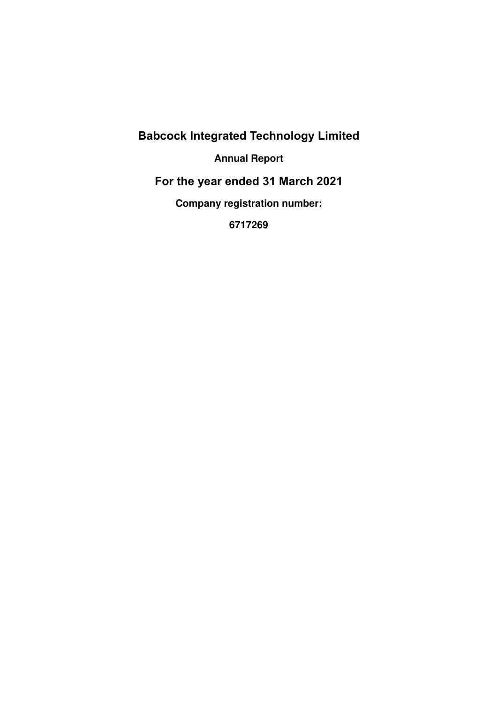# **Annual Report**

# **For the year ended 31 March 2021**

**Company registration number:** 

**6717269**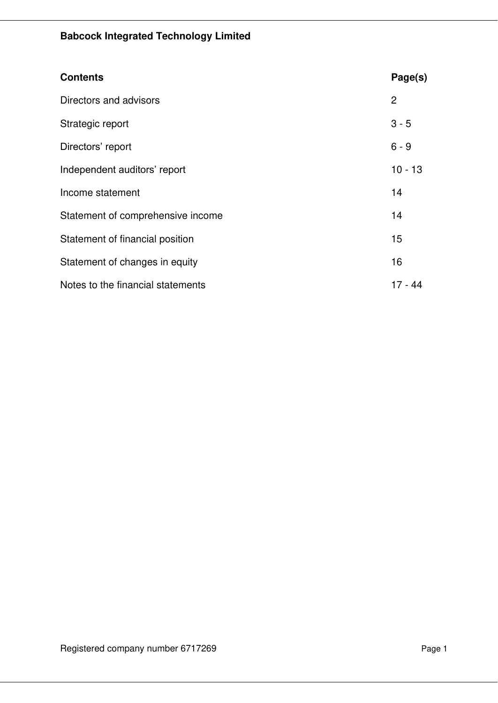| <b>Contents</b>                   | Page(s)   |
|-----------------------------------|-----------|
| Directors and advisors            | 2         |
| Strategic report                  | $3 - 5$   |
| Directors' report                 | $6 - 9$   |
| Independent auditors' report      | $10 - 13$ |
| Income statement                  | 14        |
| Statement of comprehensive income | 14        |
| Statement of financial position   | 15        |
| Statement of changes in equity    | 16        |
| Notes to the financial statements | $17 - 44$ |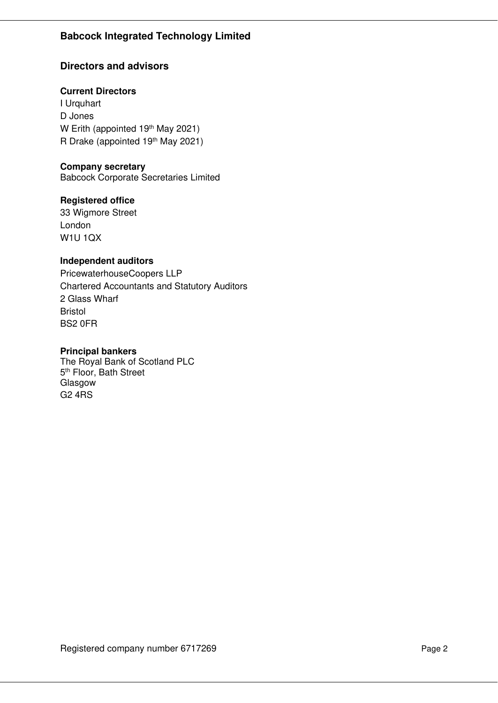# **Directors and advisors**

#### **Current Directors**

I Urquhart D Jones W Erith (appointed 19<sup>th</sup> May 2021) R Drake (appointed 19<sup>th</sup> May 2021)

#### **Company secretary**

Babcock Corporate Secretaries Limited

### **Registered office**

33 Wigmore Street London W1U 1QX

### **Independent auditors**

PricewaterhouseCoopers LLP Chartered Accountants and Statutory Auditors 2 Glass Wharf Bristol BS2 0FR

#### **Principal bankers**

G2 4RS The Royal Bank of Scotland PLC 5<sup>th</sup> Floor, Bath Street Glasgow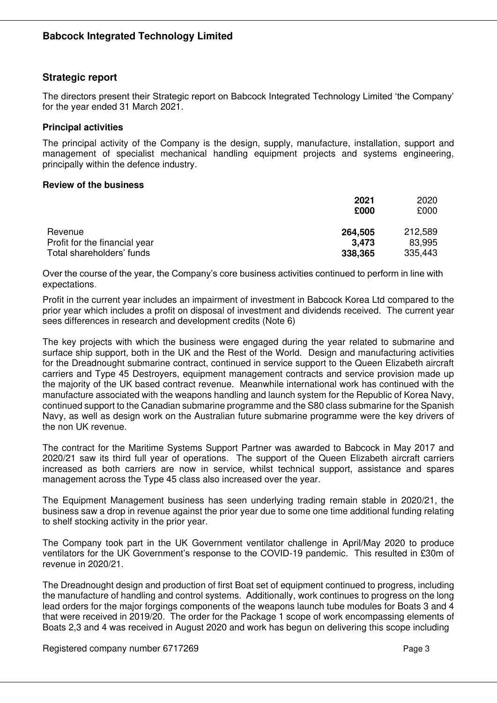### **Strategic report**

The directors present their Strategic report on Babcock Integrated Technology Limited 'the Company' for the year ended 31 March 2021.

#### **Principal activities**

The principal activity of the Company is the design, supply, manufacture, installation, support and management of specialist mechanical handling equipment projects and systems engineering, principally within the defence industry.

#### **Review of the business**

|                               | 2021<br>£000 | 2020<br>£000 |
|-------------------------------|--------------|--------------|
| Revenue                       | 264,505      | 212,589      |
| Profit for the financial year | 3.473        | 83,995       |
| Total shareholders' funds     | 338,365      | 335,443      |

Over the course of the year, the Company's core business activities continued to perform in line with expectations.

Profit in the current year includes an impairment of investment in Babcock Korea Ltd compared to the prior year which includes a profit on disposal of investment and dividends received. The current year sees differences in research and development credits (Note 6)

The key projects with which the business were engaged during the year related to submarine and surface ship support, both in the UK and the Rest of the World. Design and manufacturing activities for the Dreadnought submarine contract, continued in service support to the Queen Elizabeth aircraft carriers and Type 45 Destroyers, equipment management contracts and service provision made up the majority of the UK based contract revenue. Meanwhile international work has continued with the manufacture associated with the weapons handling and launch system for the Republic of Korea Navy, continued support to the Canadian submarine programme and the S80 class submarine for the Spanish Navy, as well as design work on the Australian future submarine programme were the key drivers of the non UK revenue.

The contract for the Maritime Systems Support Partner was awarded to Babcock in May 2017 and 2020/21 saw its third full year of operations. The support of the Queen Elizabeth aircraft carriers increased as both carriers are now in service, whilst technical support, assistance and spares management across the Type 45 class also increased over the year.

The Equipment Management business has seen underlying trading remain stable in 2020/21, the business saw a drop in revenue against the prior year due to some one time additional funding relating to shelf stocking activity in the prior year.

The Company took part in the UK Government ventilator challenge in April/May 2020 to produce ventilators for the UK Government's response to the COVID-19 pandemic. This resulted in £30m of revenue in 2020/21.

The Dreadnought design and production of first Boat set of equipment continued to progress, including the manufacture of handling and control systems. Additionally, work continues to progress on the long lead orders for the major forgings components of the weapons launch tube modules for Boats 3 and 4 that were received in 2019/20. The order for the Package 1 scope of work encompassing elements of Boats 2,3 and 4 was received in August 2020 and work has begun on delivering this scope including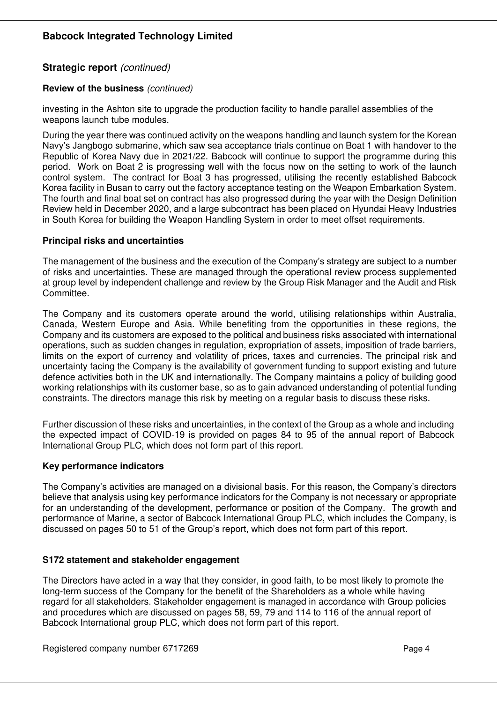# **Strategic report** *(continued)*

#### **Review of the business** *(continued)*

investing in the Ashton site to upgrade the production facility to handle parallel assemblies of the weapons launch tube modules.

During the year there was continued activity on the weapons handling and launch system for the Korean Navy's Jangbogo submarine, which saw sea acceptance trials continue on Boat 1 with handover to the Republic of Korea Navy due in 2021/22. Babcock will continue to support the programme during this period. Work on Boat 2 is progressing well with the focus now on the setting to work of the launch control system. The contract for Boat 3 has progressed, utilising the recently established Babcock Korea facility in Busan to carry out the factory acceptance testing on the Weapon Embarkation System. The fourth and final boat set on contract has also progressed during the year with the Design Definition Review held in December 2020, and a large subcontract has been placed on Hyundai Heavy Industries in South Korea for building the Weapon Handling System in order to meet offset requirements.

#### **Principal risks and uncertainties**

The management of the business and the execution of the Company's strategy are subject to a number of risks and uncertainties. These are managed through the operational review process supplemented at group level by independent challenge and review by the Group Risk Manager and the Audit and Risk Committee.

The Company and its customers operate around the world, utilising relationships within Australia, Canada, Western Europe and Asia. While benefiting from the opportunities in these regions, the Company and its customers are exposed to the political and business risks associated with international operations, such as sudden changes in regulation, expropriation of assets, imposition of trade barriers, limits on the export of currency and volatility of prices, taxes and currencies. The principal risk and uncertainty facing the Company is the availability of government funding to support existing and future defence activities both in the UK and internationally. The Company maintains a policy of building good working relationships with its customer base, so as to gain advanced understanding of potential funding constraints. The directors manage this risk by meeting on a regular basis to discuss these risks.

Further discussion of these risks and uncertainties, in the context of the Group as a whole and including the expected impact of COVID-19 is provided on pages 84 to 95 of the annual report of Babcock International Group PLC, which does not form part of this report.

#### **Key performance indicators**

The Company's activities are managed on a divisional basis. For this reason, the Company's directors believe that analysis using key performance indicators for the Company is not necessary or appropriate for an understanding of the development, performance or position of the Company. The growth and performance of Marine, a sector of Babcock International Group PLC, which includes the Company, is discussed on pages 50 to 51 of the Group's report, which does not form part of this report.

#### **S172 statement and stakeholder engagement**

The Directors have acted in a way that they consider, in good faith, to be most likely to promote the long-term success of the Company for the benefit of the Shareholders as a whole while having regard for all stakeholders. Stakeholder engagement is managed in accordance with Group policies and procedures which are discussed on pages 58, 59, 79 and 114 to 116 of the annual report of Babcock International group PLC, which does not form part of this report.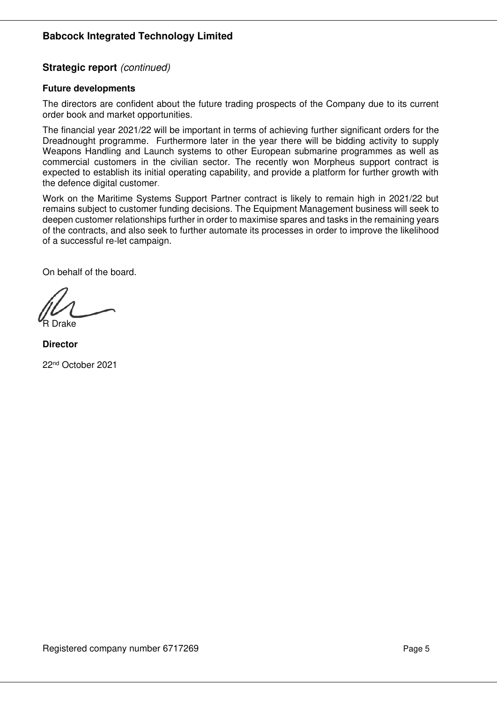# **Strategic report** *(continued)*

#### **Future developments**

The directors are confident about the future trading prospects of the Company due to its current order book and market opportunities.

The financial year 2021/22 will be important in terms of achieving further significant orders for the Dreadnought programme. Furthermore later in the year there will be bidding activity to supply Weapons Handling and Launch systems to other European submarine programmes as well as commercial customers in the civilian sector. The recently won Morpheus support contract is expected to establish its initial operating capability, and provide a platform for further growth with the defence digital customer.

Work on the Maritime Systems Support Partner contract is likely to remain high in 2021/22 but remains subject to customer funding decisions. The Equipment Management business will seek to deepen customer relationships further in order to maximise spares and tasks in the remaining years of the contracts, and also seek to further automate its processes in order to improve the likelihood of a successful re-let campaign.

On behalf of the board.

R Drake

**Director** 

22nd October 2021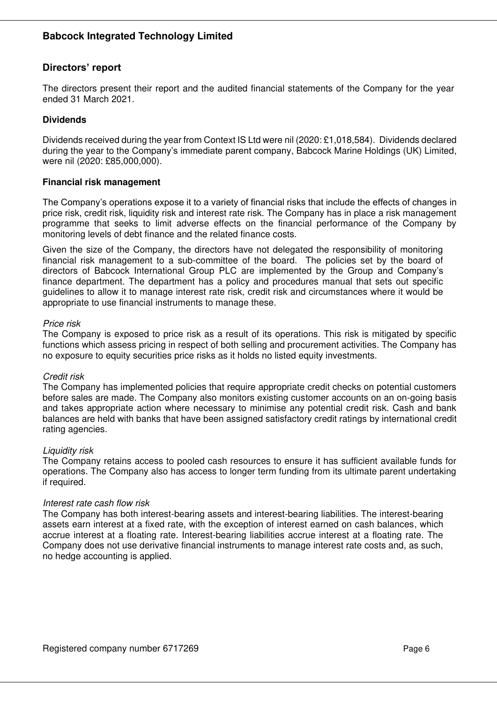# **Directors' report**

The directors present their report and the audited financial statements of the Company for the year ended 31 March 2021.

### **Dividends**

Dividends received during the year from Context IS Ltd were nil (2020: £1,018,584). Dividends declared during the year to the Company's immediate parent company, Babcock Marine Holdings (UK) Limited, were nil (2020: £85,000,000).

#### **Financial risk management**

The Company's operations expose it to a variety of financial risks that include the effects of changes in price risk, credit risk, liquidity risk and interest rate risk. The Company has in place a risk management programme that seeks to limit adverse effects on the financial performance of the Company by monitoring levels of debt finance and the related finance costs.

Given the size of the Company, the directors have not delegated the responsibility of monitoring financial risk management to a sub-committee of the board. The policies set by the board of directors of Babcock International Group PLC are implemented by the Group and Company's finance department. The department has a policy and procedures manual that sets out specific guidelines to allow it to manage interest rate risk, credit risk and circumstances where it would be appropriate to use financial instruments to manage these.

#### *Price risk*

The Company is exposed to price risk as a result of its operations. This risk is mitigated by specific functions which assess pricing in respect of both selling and procurement activities. The Company has no exposure to equity securities price risks as it holds no listed equity investments.

#### *Credit risk*

The Company has implemented policies that require appropriate credit checks on potential customers before sales are made. The Company also monitors existing customer accounts on an on-going basis and takes appropriate action where necessary to minimise any potential credit risk. Cash and bank balances are held with banks that have been assigned satisfactory credit ratings by international credit rating agencies.

#### *Liquidity risk*

The Company retains access to pooled cash resources to ensure it has sufficient available funds for operations. The Company also has access to longer term funding from its ultimate parent undertaking if required.

#### *Interest rate cash flow risk*

The Company has both interest-bearing assets and interest-bearing liabilities. The interest-bearing assets earn interest at a fixed rate, with the exception of interest earned on cash balances, which accrue interest at a floating rate. Interest-bearing liabilities accrue interest at a floating rate. The Company does not use derivative financial instruments to manage interest rate costs and, as such, no hedge accounting is applied.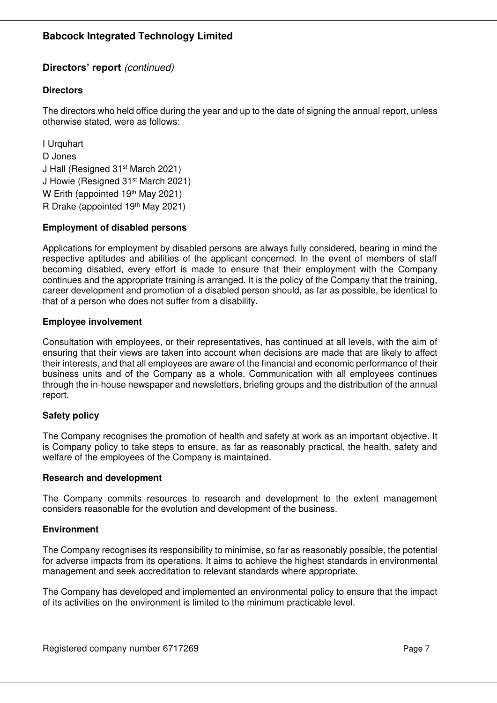# **Directors' report** *(continued)*

# **Directors**

The directors who held office during the year and up to the date of signing the annual report, unless otherwise stated, were as follows:

I Urquhart D Jones J Hall (Resigned 31st March 2021) J Howie (Resigned 31st March 2021) W Erith (appointed 19th May 2021) R Drake (appointed 19th May 2021)

#### **Employment of disabled persons**

Applications for employment by disabled persons are always fully considered, bearing in mind the respective aptitudes and abilities of the applicant concerned. In the event of members of staff becoming disabled, every effort is made to ensure that their employment with the Company continues and the appropriate training is arranged. It is the policy of the Company that the training, career development and promotion of a disabled person should, as far as possible, be identical to that of a person who does not suffer from a disability.

### **Employee involvement**

Consultation with employees, or their representatives, has continued at all levels, with the aim of ensuring that their views are taken into account when decisions are made that are likely to affect their interests, and that all employees are aware of the financial and economic performance of their business units and of the Company as a whole. Communication with all employees continues through the in-house newspaper and newsletters, briefing groups and the distribution of the annual report.

# **Safety policy**

The Company recognises the promotion of health and safety at work as an important objective. It is Company policy to take steps to ensure, as far as reasonably practical, the health, safety and welfare of the employees of the Company is maintained.

#### **Research and development**

The Company commits resources to research and development to the extent management considers reasonable for the evolution and development of the business.

#### **Environment**

The Company recognises its responsibility to minimise, so far as reasonably possible, the potential for adverse impacts from its operations. It aims to achieve the highest standards in environmental management and seek accreditation to relevant standards where appropriate.

The Company has developed and implemented an environmental policy to ensure that the impact of its activities on the environment is limited to the minimum practicable level.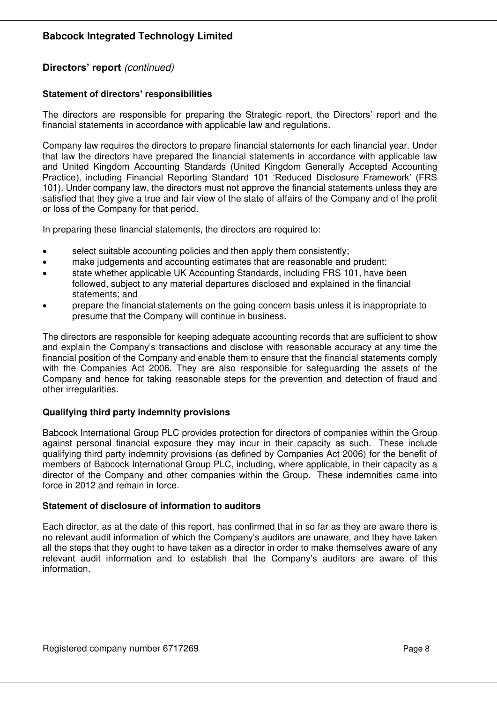# **Directors' report** *(continued)*

#### **Statement of directors' responsibilities**

The directors are responsible for preparing the Strategic report, the Directors' report and the financial statements in accordance with applicable law and regulations.

Company law requires the directors to prepare financial statements for each financial year. Under that law the directors have prepared the financial statements in accordance with applicable law and United Kingdom Accounting Standards (United Kingdom Generally Accepted Accounting Practice), including Financial Reporting Standard 101 'Reduced Disclosure Framework' (FRS 101). Under company law, the directors must not approve the financial statements unless they are satisfied that they give a true and fair view of the state of affairs of the Company and of the profit or loss of the Company for that period.

In preparing these financial statements, the directors are required to:

- select suitable accounting policies and then apply them consistently;
- make judgements and accounting estimates that are reasonable and prudent;
- state whether applicable UK Accounting Standards, including FRS 101, have been followed, subject to any material departures disclosed and explained in the financial statements; and
- prepare the financial statements on the going concern basis unless it is inappropriate to presume that the Company will continue in business.

The directors are responsible for keeping adequate accounting records that are sufficient to show and explain the Company's transactions and disclose with reasonable accuracy at any time the financial position of the Company and enable them to ensure that the financial statements comply with the Companies Act 2006. They are also responsible for safeguarding the assets of the Company and hence for taking reasonable steps for the prevention and detection of fraud and other irregularities.

#### **Qualifying third party indemnity provisions**

Babcock International Group PLC provides protection for directors of companies within the Group against personal financial exposure they may incur in their capacity as such. These include qualifying third party indemnity provisions (as defined by Companies Act 2006) for the benefit of members of Babcock International Group PLC, including, where applicable, in their capacity as a director of the Company and other companies within the Group. These indemnities came into force in 2012 and remain in force.

#### **Statement of disclosure of information to auditors**

Each director, as at the date of this report, has confirmed that in so far as they are aware there is no relevant audit information of which the Company's auditors are unaware, and they have taken all the steps that they ought to have taken as a director in order to make themselves aware of any relevant audit information and to establish that the Company's auditors are aware of this information.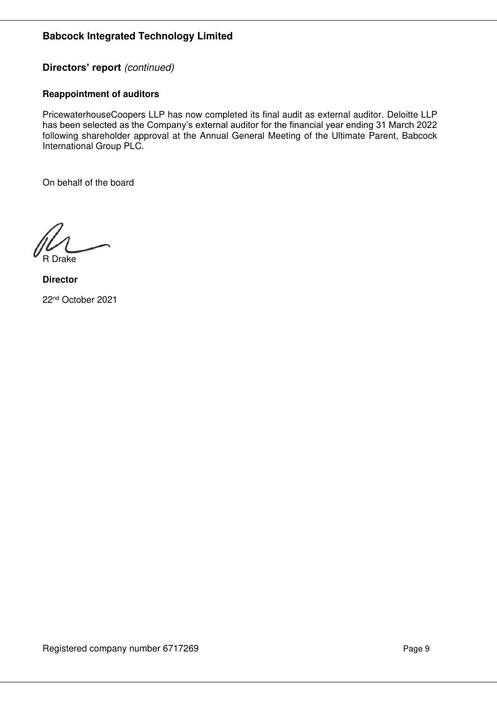# **Directors' report** *(continued)*

#### **Reappointment of auditors**

PricewaterhouseCoopers LLP has now completed its final audit as external auditor. Deloitte LLP has been selected as the Company's external auditor for the financial year ending 31 March 2022 following shareholder approval at the Annual General Meeting of the Ultimate Parent, Babcock International Group PLC.

On behalf of the board

R Drake

**Director**  22nd October 2021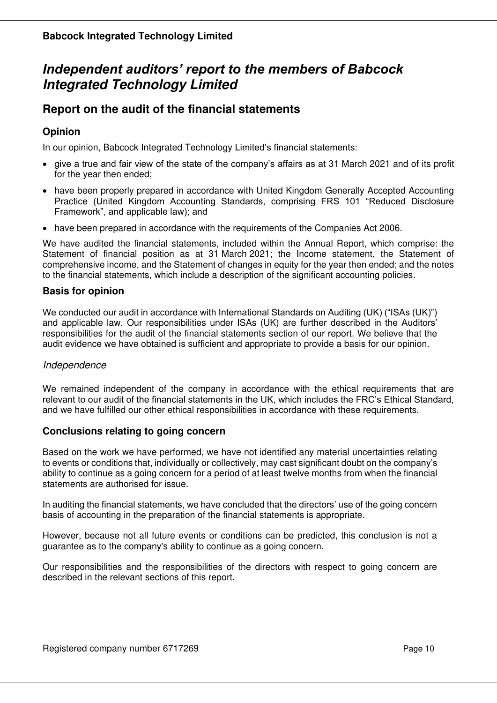# *Independent auditors' report to the members of Babcock*  **Integrated Technology Limited**

# **Report on the audit of the financial statements**

# **Opinion**

In our opinion, Babcock Integrated Technology Limited's financial statements:

- give a true and fair view of the state of the company's affairs as at 31 March 2021 and of its profit for the year then ended;
- have been properly prepared in accordance with United Kingdom Generally Accepted Accounting Practice (United Kingdom Accounting Standards, comprising FRS 101 "Reduced Disclosure Framework", and applicable law); and
- have been prepared in accordance with the requirements of the Companies Act 2006.

We have audited the financial statements, included within the Annual Report, which comprise: the Statement of financial position as at 31 March 2021; the Income statement, the Statement of comprehensive income, and the Statement of changes in equity for the year then ended; and the notes to the financial statements, which include a description of the significant accounting policies.

### **Basis for opinion**

We conducted our audit in accordance with International Standards on Auditing (UK) ("ISAs (UK)") and applicable law. Our responsibilities under ISAs (UK) are further described in the Auditors' responsibilities for the audit of the financial statements section of our report. We believe that the audit evidence we have obtained is sufficient and appropriate to provide a basis for our opinion.

#### *Independence*

We remained independent of the company in accordance with the ethical requirements that are relevant to our audit of the financial statements in the UK, which includes the FRC's Ethical Standard, and we have fulfilled our other ethical responsibilities in accordance with these requirements.

# **Conclusions relating to going concern**

Based on the work we have performed, we have not identified any material uncertainties relating to events or conditions that, individually or collectively, may cast significant doubt on the company's ability to continue as a going concern for a period of at least twelve months from when the financial statements are authorised for issue.

In auditing the financial statements, we have concluded that the directors' use of the going concern basis of accounting in the preparation of the financial statements is appropriate.

However, because not all future events or conditions can be predicted, this conclusion is not a guarantee as to the company's ability to continue as a going concern.

Our responsibilities and the responsibilities of the directors with respect to going concern are described in the relevant sections of this report.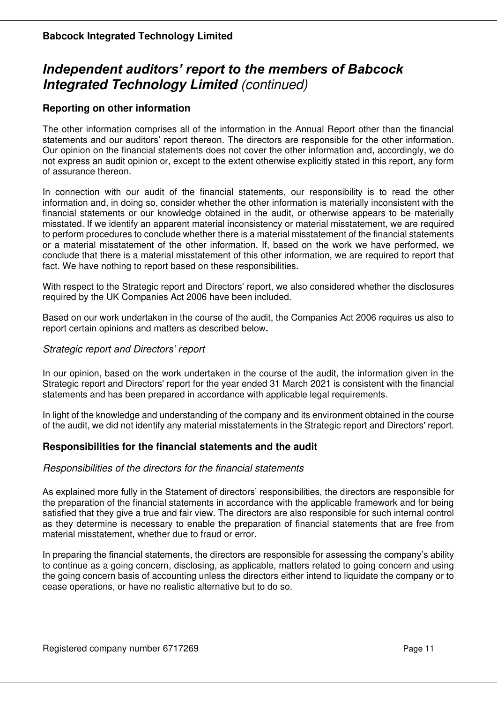# *Independent auditors' report to the members of Babcock*  **Integrated Technology Limited** *(continued)*

# **Reporting on other information**

The other information comprises all of the information in the Annual Report other than the financial statements and our auditors' report thereon. The directors are responsible for the other information. Our opinion on the financial statements does not cover the other information and, accordingly, we do not express an audit opinion or, except to the extent otherwise explicitly stated in this report, any form of assurance thereon.

In connection with our audit of the financial statements, our responsibility is to read the other information and, in doing so, consider whether the other information is materially inconsistent with the financial statements or our knowledge obtained in the audit, or otherwise appears to be materially misstated. If we identify an apparent material inconsistency or material misstatement, we are required to perform procedures to conclude whether there is a material misstatement of the financial statements or a material misstatement of the other information. If, based on the work we have performed, we conclude that there is a material misstatement of this other information, we are required to report that fact. We have nothing to report based on these responsibilities.

With respect to the Strategic report and Directors' report, we also considered whether the disclosures required by the UK Companies Act 2006 have been included.

Based on our work undertaken in the course of the audit, the Companies Act 2006 requires us also to report certain opinions and matters as described below**.** 

### *Strategic report and Directors' report*

In our opinion, based on the work undertaken in the course of the audit, the information given in the Strategic report and Directors' report for the year ended 31 March 2021 is consistent with the financial statements and has been prepared in accordance with applicable legal requirements.

In light of the knowledge and understanding of the company and its environment obtained in the course of the audit, we did not identify any material misstatements in the Strategic report and Directors' report.

# **Responsibilities for the financial statements and the audit**

#### *Responsibilities of the directors for the financial statements*

As explained more fully in the Statement of directors' responsibilities, the directors are responsible for the preparation of the financial statements in accordance with the applicable framework and for being satisfied that they give a true and fair view. The directors are also responsible for such internal control as they determine is necessary to enable the preparation of financial statements that are free from material misstatement, whether due to fraud or error.

In preparing the financial statements, the directors are responsible for assessing the company's ability to continue as a going concern, disclosing, as applicable, matters related to going concern and using the going concern basis of accounting unless the directors either intend to liquidate the company or to cease operations, or have no realistic alternative but to do so.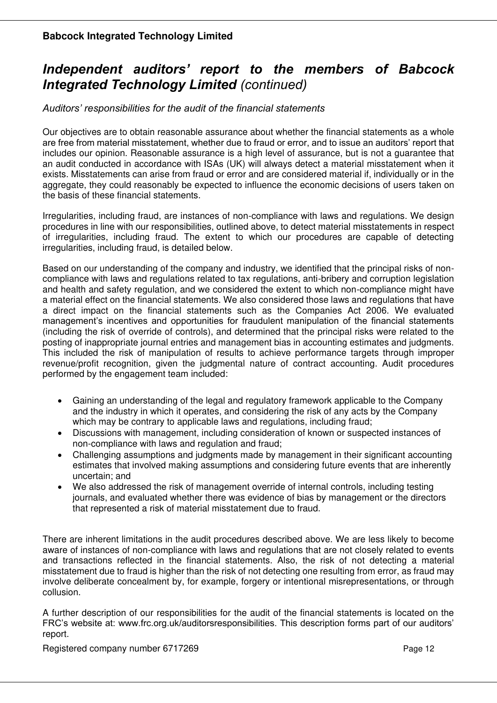# *Independent auditors' report to the members of Babcock Integrated Technology Limited (continued)*

*Auditors' responsibilities for the audit of the financial statements*

Our objectives are to obtain reasonable assurance about whether the financial statements as a whole are free from material misstatement, whether due to fraud or error, and to issue an auditors' report that includes our opinion. Reasonable assurance is a high level of assurance, but is not a guarantee that an audit conducted in accordance with ISAs (UK) will always detect a material misstatement when it exists. Misstatements can arise from fraud or error and are considered material if, individually or in the aggregate, they could reasonably be expected to influence the economic decisions of users taken on the basis of these financial statements.

Irregularities, including fraud, are instances of non-compliance with laws and regulations. We design procedures in line with our responsibilities, outlined above, to detect material misstatements in respect of irregularities, including fraud. The extent to which our procedures are capable of detecting irregularities, including fraud, is detailed below.

Based on our understanding of the company and industry, we identified that the principal risks of noncompliance with laws and regulations related to tax regulations, anti-bribery and corruption legislation and health and safety regulation, and we considered the extent to which non-compliance might have a material effect on the financial statements. We also considered those laws and regulations that have a direct impact on the financial statements such as the Companies Act 2006. We evaluated management's incentives and opportunities for fraudulent manipulation of the financial statements (including the risk of override of controls), and determined that the principal risks were related to the posting of inappropriate journal entries and management bias in accounting estimates and judgments. This included the risk of manipulation of results to achieve performance targets through improper revenue/profit recognition, given the judgmental nature of contract accounting. Audit procedures performed by the engagement team included:

- Gaining an understanding of the legal and regulatory framework applicable to the Company and the industry in which it operates, and considering the risk of any acts by the Company which may be contrary to applicable laws and regulations, including fraud;
- Discussions with management, including consideration of known or suspected instances of non-compliance with laws and regulation and fraud;
- Challenging assumptions and judgments made by management in their significant accounting estimates that involved making assumptions and considering future events that are inherently uncertain; and
- We also addressed the risk of management override of internal controls, including testing journals, and evaluated whether there was evidence of bias by management or the directors that represented a risk of material misstatement due to fraud.

There are inherent limitations in the audit procedures described above. We are less likely to become aware of instances of non-compliance with laws and regulations that are not closely related to events and transactions reflected in the financial statements. Also, the risk of not detecting a material misstatement due to fraud is higher than the risk of not detecting one resulting from error, as fraud may involve deliberate concealment by, for example, forgery or intentional misrepresentations, or through collusion.

A further description of our responsibilities for the audit of the financial statements is located on the FRC's website at: www.frc.org.uk/auditorsresponsibilities. This description forms part of our auditors' report.

Registered company number 6717269 Page 12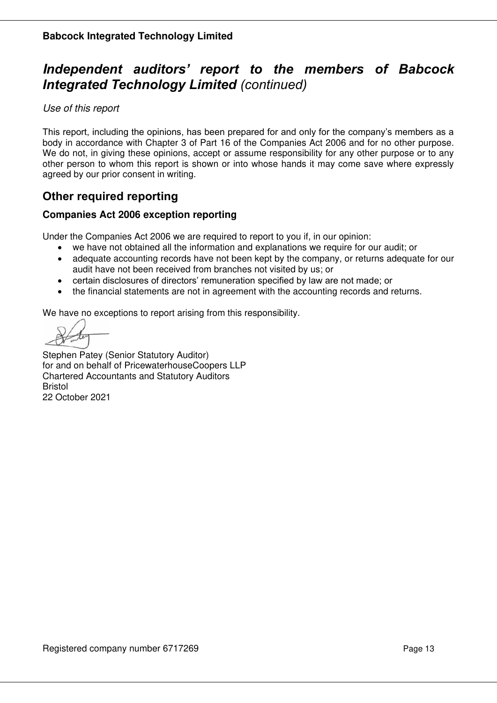# **I***ndependent auditors' report to the members of Babcock Integrated Technology Limited (continued)*

*Use of this report* 

This report, including the opinions, has been prepared for and only for the company's members as a body in accordance with Chapter 3 of Part 16 of the Companies Act 2006 and for no other purpose. We do not, in giving these opinions, accept or assume responsibility for any other purpose or to any other person to whom this report is shown or into whose hands it may come save where expressly agreed by our prior consent in writing.

# **Other required reporting**

# **Companies Act 2006 exception reporting**

Under the Companies Act 2006 we are required to report to you if, in our opinion:

- we have not obtained all the information and explanations we require for our audit; or
- adequate accounting records have not been kept by the company, or returns adequate for our audit have not been received from branches not visited by us; or
- certain disclosures of directors' remuneration specified by law are not made; or
- the financial statements are not in agreement with the accounting records and returns.

We have no exceptions to report arising from this responsibility.

Stephen Patey (Senior Statutory Auditor) for and on behalf of PricewaterhouseCoopers LLP Chartered Accountants and Statutory Auditors Bristol 22 October 2021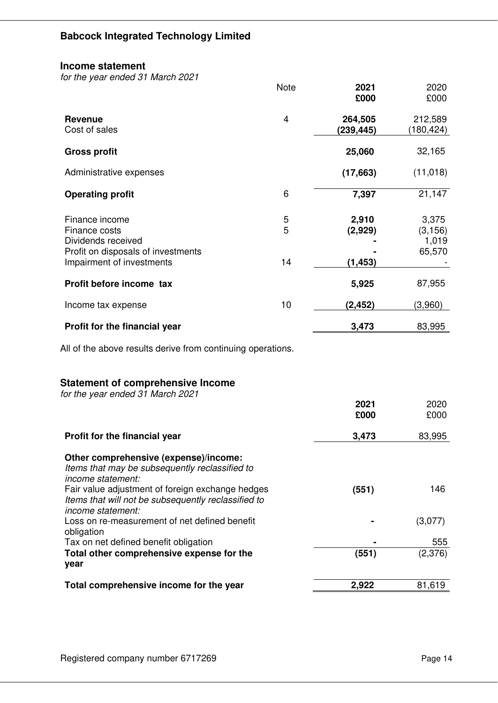#### **Income statement**

*for the year ended 31 March 2021*

|                                                                                             | <b>Note</b>    | 2021<br>£000         | 2020<br>£000                         |
|---------------------------------------------------------------------------------------------|----------------|----------------------|--------------------------------------|
| <b>Revenue</b><br>Cost of sales                                                             | $\overline{4}$ | 264,505<br>(239,445) | 212,589<br>(180,424)                 |
| <b>Gross profit</b>                                                                         |                | 25,060               | 32,165                               |
| Administrative expenses                                                                     |                | (17, 663)            | (11, 018)                            |
| <b>Operating profit</b>                                                                     | 6              | 7,397                | 21,147                               |
| Finance income<br>Finance costs<br>Dividends received<br>Profit on disposals of investments | 5<br>5         | 2,910<br>(2,929)     | 3,375<br>(3, 156)<br>1,019<br>65,570 |
| Impairment of investments                                                                   | 14             | (1, 453)             |                                      |
| Profit before income tax                                                                    |                | 5,925                | 87,955                               |
| Income tax expense                                                                          | 10             | (2, 452)             | (3,960)                              |
| Profit for the financial year                                                               |                | 3,473                | 83,995                               |
| All of the above results derive from continuing operations.                                 |                |                      |                                      |

# **Statement of comprehensive Income**

| for the year ended 31 March 2021                    |       |         |
|-----------------------------------------------------|-------|---------|
|                                                     | 2021  | 2020    |
|                                                     | £000  | £000    |
| Profit for the financial year                       | 3,473 | 83,995  |
| Other comprehensive (expense)/income:               |       |         |
| Items that may be subsequently reclassified to      |       |         |
| income statement:                                   |       |         |
| Fair value adjustment of foreign exchange hedges    | (551) | 146     |
| Items that will not be subsequently reclassified to |       |         |
| income statement:                                   |       |         |
| Loss on re-measurement of net defined benefit       |       | (3,077) |
| obligation                                          |       |         |
| Tax on net defined benefit obligation               |       | 555     |
| Total other comprehensive expense for the           | (551) | (2,376) |
| year                                                |       |         |
| Total comprehensive income for the year             | 2,922 | 81,619  |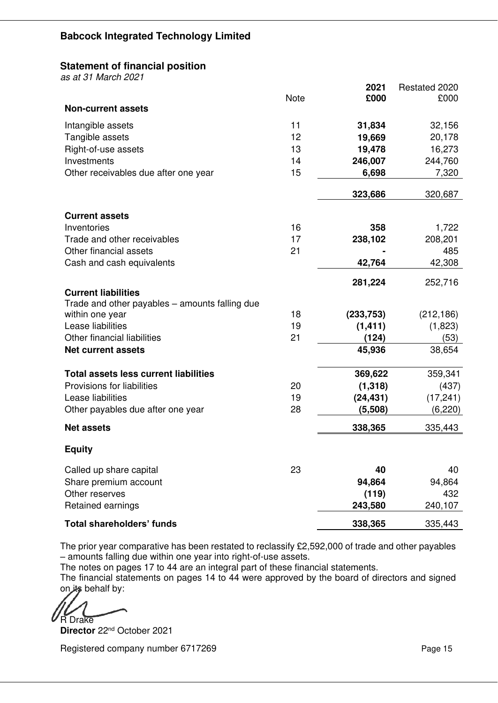# **Statement of financial position**

*as at 31 March 2021* 

|                                                                   |             | 2021       | Restated 2020 |
|-------------------------------------------------------------------|-------------|------------|---------------|
| <b>Non-current assets</b>                                         | <b>Note</b> | £000       | £000          |
|                                                                   |             |            |               |
| Intangible assets                                                 | 11          | 31,834     | 32,156        |
| Tangible assets                                                   | 12          | 19,669     | 20,178        |
| Right-of-use assets                                               | 13          | 19,478     | 16,273        |
| Investments                                                       | 14          | 246,007    | 244,760       |
| Other receivables due after one year                              | 15          | 6,698      | 7,320         |
|                                                                   |             | 323,686    | 320,687       |
| <b>Current assets</b>                                             |             |            |               |
| Inventories                                                       | 16          | 358        | 1,722         |
| Trade and other receivables                                       | 17          | 238,102    | 208,201       |
| Other financial assets                                            | 21          |            | 485           |
| Cash and cash equivalents                                         |             | 42,764     | 42,308        |
|                                                                   |             | 281,224    | 252,716       |
| <b>Current liabilities</b>                                        |             |            |               |
| Trade and other payables - amounts falling due<br>within one year | 18          | (233, 753) | (212, 186)    |
| Lease liabilities                                                 | 19          | (1, 411)   | (1,823)       |
| Other financial liabilities                                       | 21          | (124)      | (53)          |
| <b>Net current assets</b>                                         |             | 45,936     | 38,654        |
| <b>Total assets less current liabilities</b>                      |             | 369,622    | 359,341       |
| Provisions for liabilities                                        | 20          | (1, 318)   | (437)         |
| Lease liabilities                                                 | 19          | (24, 431)  | (17, 241)     |
| Other payables due after one year                                 | 28          | (5,508)    | (6, 220)      |
| <b>Net assets</b>                                                 |             | 338,365    | 335,443       |
| <b>Equity</b>                                                     |             |            |               |
| Called up share capital                                           | 23          | 40         | 40            |
| Share premium account                                             |             | 94,864     | 94,864        |
| Other reserves                                                    |             | (119)      | 432           |
| Retained earnings                                                 |             | 243,580    | 240,107       |
| <b>Total shareholders' funds</b>                                  |             | 338,365    | 335,443       |

The prior year comparative has been restated to reclassify £2,592,000 of trade and other payables – amounts falling due within one year into right-of-use assets.

The notes on pages 17 to 44 are an integral part of these financial statements.

The financial statements on pages 14 to 44 were approved by the board of directors and signed on its behalf by:

R Drake

**Director** 22nd October 2021

Registered company number 6717269 Page 15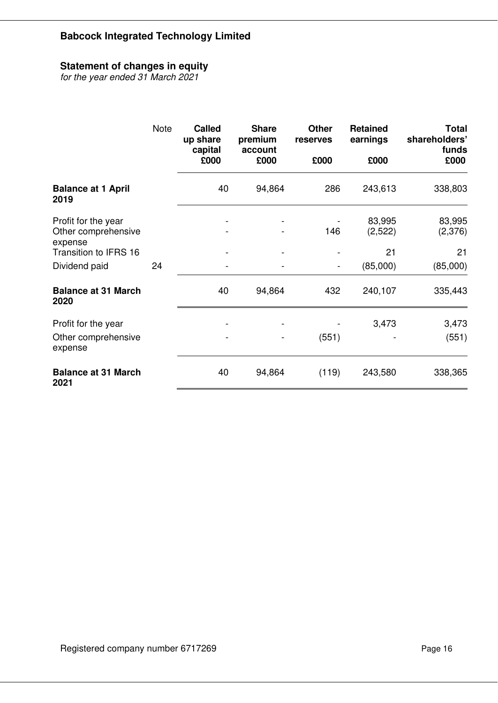# **Statement of changes in equity**

*for the year ended 31 March 2021* 

|                                                       | <b>Note</b> | <b>Called</b><br>up share<br>capital | <b>Share</b><br>premium<br>account | <b>Other</b><br>reserves     | <b>Retained</b><br>earnings | <b>Total</b><br>shareholders'<br>funds |
|-------------------------------------------------------|-------------|--------------------------------------|------------------------------------|------------------------------|-----------------------------|----------------------------------------|
|                                                       |             | £000                                 | £000                               | £000                         | £000                        | £000                                   |
| <b>Balance at 1 April</b><br>2019                     |             | 40                                   | 94,864                             | 286                          | 243,613                     | 338,803                                |
| Profit for the year<br>Other comprehensive<br>expense |             |                                      |                                    | 146                          | 83,995<br>(2,522)           | 83,995<br>(2,376)                      |
| <b>Transition to IFRS 16</b>                          |             |                                      |                                    |                              | 21                          | 21                                     |
| Dividend paid                                         | 24          |                                      | $\qquad \qquad \blacksquare$       | $\qquad \qquad \blacksquare$ | (85,000)                    | (85,000)                               |
| <b>Balance at 31 March</b><br>2020                    |             | 40                                   | 94,864                             | 432                          | 240,107                     | 335,443                                |
| Profit for the year                                   |             |                                      |                                    |                              | 3,473                       | 3,473                                  |
| Other comprehensive<br>expense                        |             |                                      |                                    | (551)                        |                             | (551)                                  |
| <b>Balance at 31 March</b><br>2021                    |             | 40                                   | 94,864                             | (119)                        | 243,580                     | 338,365                                |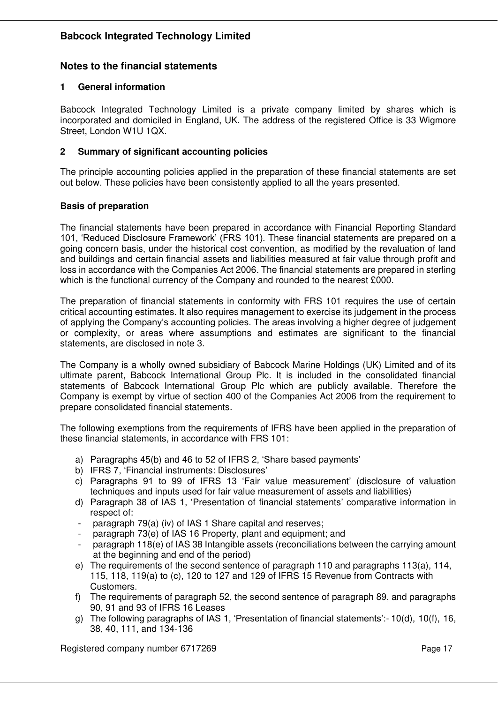### **Notes to the financial statements**

#### **1 General information**

Babcock Integrated Technology Limited is a private company limited by shares which is incorporated and domiciled in England, UK. The address of the registered Office is 33 Wigmore Street, London W1U 1QX.

#### **2 Summary of significant accounting policies**

The principle accounting policies applied in the preparation of these financial statements are set out below. These policies have been consistently applied to all the years presented.

#### **Basis of preparation**

The financial statements have been prepared in accordance with Financial Reporting Standard 101, 'Reduced Disclosure Framework' (FRS 101). These financial statements are prepared on a going concern basis, under the historical cost convention, as modified by the revaluation of land and buildings and certain financial assets and liabilities measured at fair value through profit and loss in accordance with the Companies Act 2006. The financial statements are prepared in sterling which is the functional currency of the Company and rounded to the nearest £000.

The preparation of financial statements in conformity with FRS 101 requires the use of certain critical accounting estimates. It also requires management to exercise its judgement in the process of applying the Company's accounting policies. The areas involving a higher degree of judgement or complexity, or areas where assumptions and estimates are significant to the financial statements, are disclosed in note 3.

The Company is a wholly owned subsidiary of Babcock Marine Holdings (UK) Limited and of its ultimate parent, Babcock International Group Plc. It is included in the consolidated financial statements of Babcock International Group Plc which are publicly available. Therefore the Company is exempt by virtue of section 400 of the Companies Act 2006 from the requirement to prepare consolidated financial statements*.* 

The following exemptions from the requirements of IFRS have been applied in the preparation of these financial statements, in accordance with FRS 101:

- a) Paragraphs 45(b) and 46 to 52 of IFRS 2, 'Share based payments'
- b) IFRS 7, 'Financial instruments: Disclosures'
- c) Paragraphs 91 to 99 of IFRS 13 'Fair value measurement' (disclosure of valuation techniques and inputs used for fair value measurement of assets and liabilities)
- d) Paragraph 38 of IAS 1, 'Presentation of financial statements' comparative information in respect of:
- paragraph 79(a) (iv) of IAS 1 Share capital and reserves;
- paragraph 73(e) of IAS 16 Property, plant and equipment; and
- paragraph 118(e) of IAS 38 Intangible assets (reconciliations between the carrying amount at the beginning and end of the period)
- e) The requirements of the second sentence of paragraph 110 and paragraphs 113(a), 114, 115, 118, 119(a) to (c), 120 to 127 and 129 of IFRS 15 Revenue from Contracts with Customers.
- f) The requirements of paragraph 52, the second sentence of paragraph 89, and paragraphs 90, 91 and 93 of IFRS 16 Leases
- g) The following paragraphs of IAS 1, 'Presentation of financial statements':- 10(d), 10(f), 16, 38, 40, 111, and 134-136

Registered company number 6717269 Page 17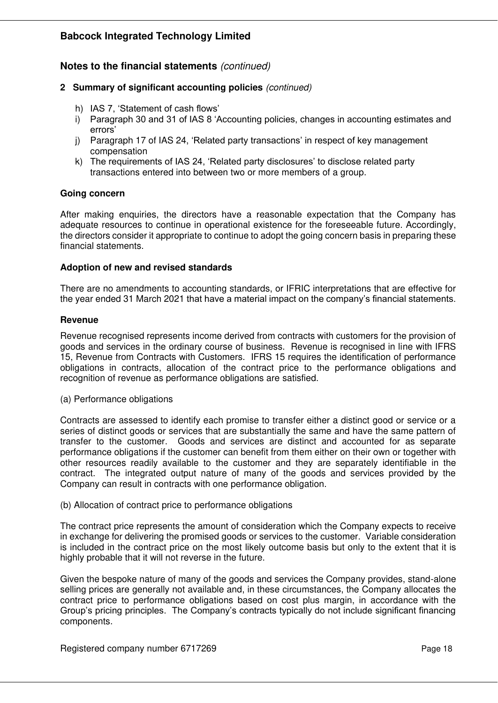# **Notes to the financial statements** *(continued)*

- **2 Summary of significant accounting policies** *(continued)* 
	- h) IAS 7, 'Statement of cash flows'
	- i) Paragraph 30 and 31 of IAS 8 'Accounting policies, changes in accounting estimates and errors'
	- j) Paragraph 17 of IAS 24, 'Related party transactions' in respect of key management compensation
	- k) The requirements of IAS 24, 'Related party disclosures' to disclose related party transactions entered into between two or more members of a group.

#### **Going concern**

After making enquiries, the directors have a reasonable expectation that the Company has adequate resources to continue in operational existence for the foreseeable future. Accordingly, the directors consider it appropriate to continue to adopt the going concern basis in preparing these financial statements.

#### **Adoption of new and revised standards**

There are no amendments to accounting standards, or IFRIC interpretations that are effective for the year ended 31 March 2021 that have a material impact on the company's financial statements.

#### **Revenue**

Revenue recognised represents income derived from contracts with customers for the provision of goods and services in the ordinary course of business. Revenue is recognised in line with IFRS 15, Revenue from Contracts with Customers. IFRS 15 requires the identification of performance obligations in contracts, allocation of the contract price to the performance obligations and recognition of revenue as performance obligations are satisfied.

(a) Performance obligations

Contracts are assessed to identify each promise to transfer either a distinct good or service or a series of distinct goods or services that are substantially the same and have the same pattern of transfer to the customer. Goods and services are distinct and accounted for as separate performance obligations if the customer can benefit from them either on their own or together with other resources readily available to the customer and they are separately identifiable in the contract. The integrated output nature of many of the goods and services provided by the Company can result in contracts with one performance obligation.

(b) Allocation of contract price to performance obligations

The contract price represents the amount of consideration which the Company expects to receive in exchange for delivering the promised goods or services to the customer. Variable consideration is included in the contract price on the most likely outcome basis but only to the extent that it is highly probable that it will not reverse in the future.

Given the bespoke nature of many of the goods and services the Company provides, stand-alone selling prices are generally not available and, in these circumstances, the Company allocates the contract price to performance obligations based on cost plus margin, in accordance with the Group's pricing principles. The Company's contracts typically do not include significant financing components.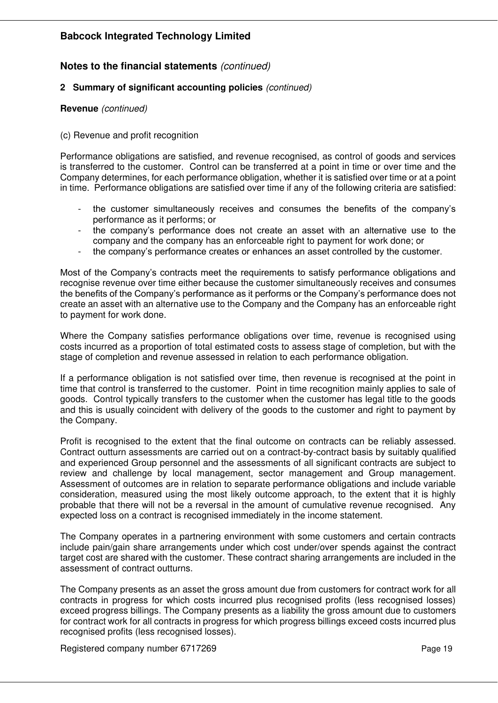# **Notes to the financial statements** *(continued)*

#### **2 Summary of significant accounting policies** *(continued)*

#### **Revenue** *(continued)*

#### (c) Revenue and profit recognition

Performance obligations are satisfied, and revenue recognised, as control of goods and services is transferred to the customer. Control can be transferred at a point in time or over time and the Company determines, for each performance obligation, whether it is satisfied over time or at a point in time. Performance obligations are satisfied over time if any of the following criteria are satisfied:

- the customer simultaneously receives and consumes the benefits of the company's performance as it performs; or
- the company's performance does not create an asset with an alternative use to the company and the company has an enforceable right to payment for work done; or
- the company's performance creates or enhances an asset controlled by the customer.

Most of the Company's contracts meet the requirements to satisfy performance obligations and recognise revenue over time either because the customer simultaneously receives and consumes the benefits of the Company's performance as it performs or the Company's performance does not create an asset with an alternative use to the Company and the Company has an enforceable right to payment for work done.

Where the Company satisfies performance obligations over time, revenue is recognised using costs incurred as a proportion of total estimated costs to assess stage of completion, but with the stage of completion and revenue assessed in relation to each performance obligation.

If a performance obligation is not satisfied over time, then revenue is recognised at the point in time that control is transferred to the customer. Point in time recognition mainly applies to sale of goods. Control typically transfers to the customer when the customer has legal title to the goods and this is usually coincident with delivery of the goods to the customer and right to payment by the Company.

Profit is recognised to the extent that the final outcome on contracts can be reliably assessed. Contract outturn assessments are carried out on a contract-by-contract basis by suitably qualified and experienced Group personnel and the assessments of all significant contracts are subject to review and challenge by local management, sector management and Group management. Assessment of outcomes are in relation to separate performance obligations and include variable consideration, measured using the most likely outcome approach, to the extent that it is highly probable that there will not be a reversal in the amount of cumulative revenue recognised. Any expected loss on a contract is recognised immediately in the income statement.

The Company operates in a partnering environment with some customers and certain contracts include pain/gain share arrangements under which cost under/over spends against the contract target cost are shared with the customer. These contract sharing arrangements are included in the assessment of contract outturns.

The Company presents as an asset the gross amount due from customers for contract work for all contracts in progress for which costs incurred plus recognised profits (less recognised losses) exceed progress billings. The Company presents as a liability the gross amount due to customers for contract work for all contracts in progress for which progress billings exceed costs incurred plus recognised profits (less recognised losses).

Registered company number 6717269 Page 19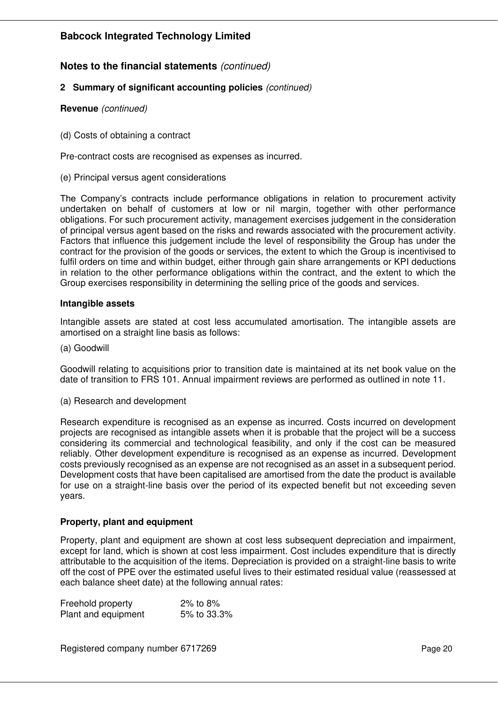# **Notes to the financial statements** *(continued)*

#### **2 Summary of significant accounting policies** *(continued)*

#### **Revenue** *(continued)*

(d) Costs of obtaining a contract

Pre-contract costs are recognised as expenses as incurred.

(e) Principal versus agent considerations

The Company's contracts include performance obligations in relation to procurement activity undertaken on behalf of customers at low or nil margin, together with other performance obligations. For such procurement activity, management exercises judgement in the consideration of principal versus agent based on the risks and rewards associated with the procurement activity. Factors that influence this judgement include the level of responsibility the Group has under the contract for the provision of the goods or services, the extent to which the Group is incentivised to fulfil orders on time and within budget, either through gain share arrangements or KPI deductions in relation to the other performance obligations within the contract, and the extent to which the Group exercises responsibility in determining the selling price of the goods and services.

#### **Intangible assets**

Intangible assets are stated at cost less accumulated amortisation. The intangible assets are amortised on a straight line basis as follows:

(a) Goodwill

Goodwill relating to acquisitions prior to transition date is maintained at its net book value on the date of transition to FRS 101. Annual impairment reviews are performed as outlined in note 11.

(a) Research and development

Research expenditure is recognised as an expense as incurred. Costs incurred on development projects are recognised as intangible assets when it is probable that the project will be a success considering its commercial and technological feasibility, and only if the cost can be measured reliably. Other development expenditure is recognised as an expense as incurred. Development costs previously recognised as an expense are not recognised as an asset in a subsequent period. Development costs that have been capitalised are amortised from the date the product is available for use on a straight-line basis over the period of its expected benefit but not exceeding seven years.

#### **Property, plant and equipment**

Property, plant and equipment are shown at cost less subsequent depreciation and impairment, except for land, which is shown at cost less impairment. Cost includes expenditure that is directly attributable to the acquisition of the items. Depreciation is provided on a straight-line basis to write off the cost of PPE over the estimated useful lives to their estimated residual value (reassessed at each balance sheet date) at the following annual rates:

| Freehold property   | 2% to 8%    |
|---------------------|-------------|
| Plant and equipment | 5% to 33.3% |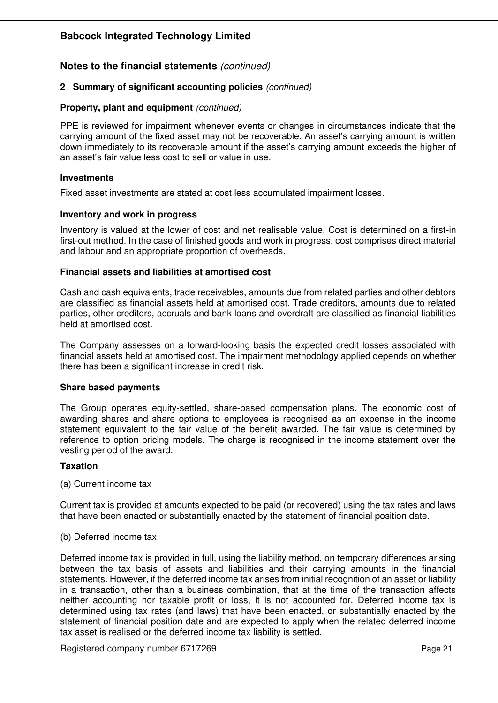### **Notes to the financial statements** *(continued)*

#### **2 Summary of significant accounting policies** *(continued)*

#### **Property, plant and equipment** *(continued)*

PPE is reviewed for impairment whenever events or changes in circumstances indicate that the carrying amount of the fixed asset may not be recoverable. An asset's carrying amount is written down immediately to its recoverable amount if the asset's carrying amount exceeds the higher of an asset's fair value less cost to sell or value in use.

#### **Investments**

Fixed asset investments are stated at cost less accumulated impairment losses.

#### **Inventory and work in progress**

Inventory is valued at the lower of cost and net realisable value. Cost is determined on a first-in first-out method. In the case of finished goods and work in progress, cost comprises direct material and labour and an appropriate proportion of overheads.

#### **Financial assets and liabilities at amortised cost**

Cash and cash equivalents, trade receivables, amounts due from related parties and other debtors are classified as financial assets held at amortised cost. Trade creditors, amounts due to related parties, other creditors, accruals and bank loans and overdraft are classified as financial liabilities held at amortised cost.

The Company assesses on a forward-looking basis the expected credit losses associated with financial assets held at amortised cost. The impairment methodology applied depends on whether there has been a significant increase in credit risk.

#### **Share based payments**

The Group operates equity-settled, share-based compensation plans. The economic cost of awarding shares and share options to employees is recognised as an expense in the income statement equivalent to the fair value of the benefit awarded. The fair value is determined by reference to option pricing models. The charge is recognised in the income statement over the vesting period of the award.

#### **Taxation**

#### (a) Current income tax

Current tax is provided at amounts expected to be paid (or recovered) using the tax rates and laws that have been enacted or substantially enacted by the statement of financial position date.

#### (b) Deferred income tax

Deferred income tax is provided in full, using the liability method, on temporary differences arising between the tax basis of assets and liabilities and their carrying amounts in the financial statements. However, if the deferred income tax arises from initial recognition of an asset or liability in a transaction, other than a business combination, that at the time of the transaction affects neither accounting nor taxable profit or loss, it is not accounted for. Deferred income tax is determined using tax rates (and laws) that have been enacted, or substantially enacted by the statement of financial position date and are expected to apply when the related deferred income tax asset is realised or the deferred income tax liability is settled.

Registered company number 6717269 Page 21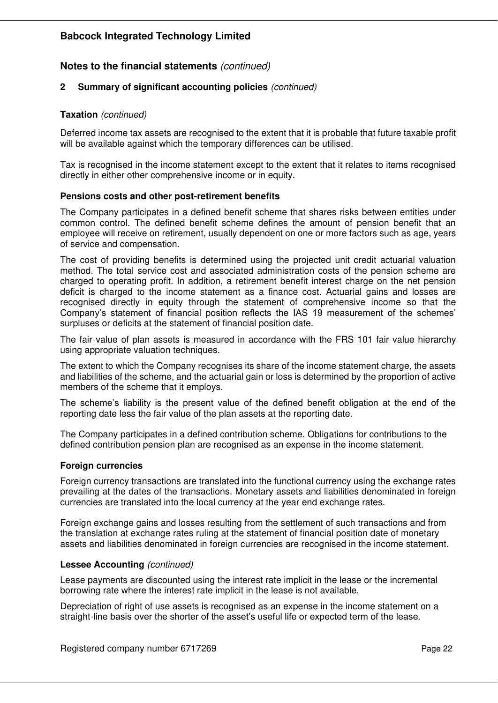# **Notes to the financial statements** *(continued)*

#### **2 Summary of significant accounting policies** *(continued)*

#### **Taxation** *(continued)*

Deferred income tax assets are recognised to the extent that it is probable that future taxable profit will be available against which the temporary differences can be utilised.

Tax is recognised in the income statement except to the extent that it relates to items recognised directly in either other comprehensive income or in equity.

#### **Pensions costs and other post-retirement benefits**

The Company participates in a defined benefit scheme that shares risks between entities under common control. The defined benefit scheme defines the amount of pension benefit that an employee will receive on retirement, usually dependent on one or more factors such as age, years of service and compensation.

The cost of providing benefits is determined using the projected unit credit actuarial valuation method. The total service cost and associated administration costs of the pension scheme are charged to operating profit. In addition, a retirement benefit interest charge on the net pension deficit is charged to the income statement as a finance cost. Actuarial gains and losses are recognised directly in equity through the statement of comprehensive income so that the Company's statement of financial position reflects the IAS 19 measurement of the schemes' surpluses or deficits at the statement of financial position date.

The fair value of plan assets is measured in accordance with the FRS 101 fair value hierarchy using appropriate valuation techniques.

The extent to which the Company recognises its share of the income statement charge, the assets and liabilities of the scheme, and the actuarial gain or loss is determined by the proportion of active members of the scheme that it employs.

The scheme's liability is the present value of the defined benefit obligation at the end of the reporting date less the fair value of the plan assets at the reporting date.

The Company participates in a defined contribution scheme. Obligations for contributions to the defined contribution pension plan are recognised as an expense in the income statement.

#### **Foreign currencies**

Foreign currency transactions are translated into the functional currency using the exchange rates prevailing at the dates of the transactions. Monetary assets and liabilities denominated in foreign currencies are translated into the local currency at the year end exchange rates.

Foreign exchange gains and losses resulting from the settlement of such transactions and from the translation at exchange rates ruling at the statement of financial position date of monetary assets and liabilities denominated in foreign currencies are recognised in the income statement.

#### **Lessee Accounting** *(continued)*

Lease payments are discounted using the interest rate implicit in the lease or the incremental borrowing rate where the interest rate implicit in the lease is not available.

Depreciation of right of use assets is recognised as an expense in the income statement on a straight-line basis over the shorter of the asset's useful life or expected term of the lease.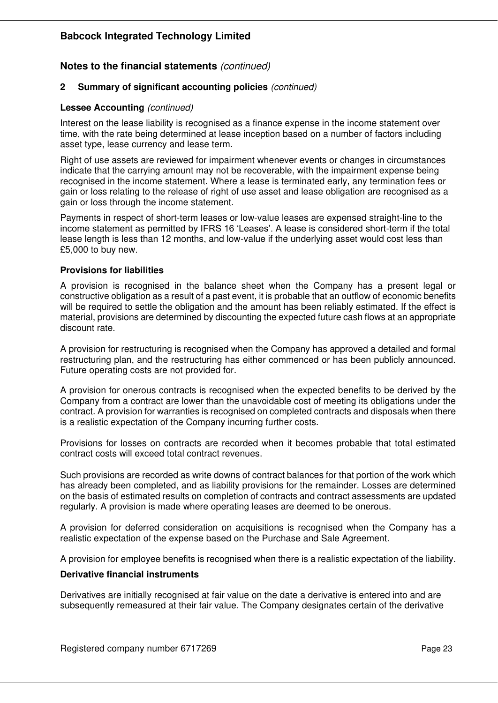# **Notes to the financial statements** *(continued)*

#### **2 Summary of significant accounting policies** *(continued)*

#### **Lessee Accounting** *(continued)*

Interest on the lease liability is recognised as a finance expense in the income statement over time, with the rate being determined at lease inception based on a number of factors including asset type, lease currency and lease term.

Right of use assets are reviewed for impairment whenever events or changes in circumstances indicate that the carrying amount may not be recoverable, with the impairment expense being recognised in the income statement. Where a lease is terminated early, any termination fees or gain or loss relating to the release of right of use asset and lease obligation are recognised as a gain or loss through the income statement.

Payments in respect of short-term leases or low-value leases are expensed straight-line to the income statement as permitted by IFRS 16 'Leases'. A lease is considered short-term if the total lease length is less than 12 months, and low-value if the underlying asset would cost less than £5,000 to buy new.

#### **Provisions for liabilities**

A provision is recognised in the balance sheet when the Company has a present legal or constructive obligation as a result of a past event, it is probable that an outflow of economic benefits will be required to settle the obligation and the amount has been reliably estimated. If the effect is material, provisions are determined by discounting the expected future cash flows at an appropriate discount rate.

A provision for restructuring is recognised when the Company has approved a detailed and formal restructuring plan, and the restructuring has either commenced or has been publicly announced. Future operating costs are not provided for.

A provision for onerous contracts is recognised when the expected benefits to be derived by the Company from a contract are lower than the unavoidable cost of meeting its obligations under the contract. A provision for warranties is recognised on completed contracts and disposals when there is a realistic expectation of the Company incurring further costs.

Provisions for losses on contracts are recorded when it becomes probable that total estimated contract costs will exceed total contract revenues.

Such provisions are recorded as write downs of contract balances for that portion of the work which has already been completed, and as liability provisions for the remainder. Losses are determined on the basis of estimated results on completion of contracts and contract assessments are updated regularly. A provision is made where operating leases are deemed to be onerous.

A provision for deferred consideration on acquisitions is recognised when the Company has a realistic expectation of the expense based on the Purchase and Sale Agreement.

A provision for employee benefits is recognised when there is a realistic expectation of the liability.

#### **Derivative financial instruments**

Derivatives are initially recognised at fair value on the date a derivative is entered into and are subsequently remeasured at their fair value. The Company designates certain of the derivative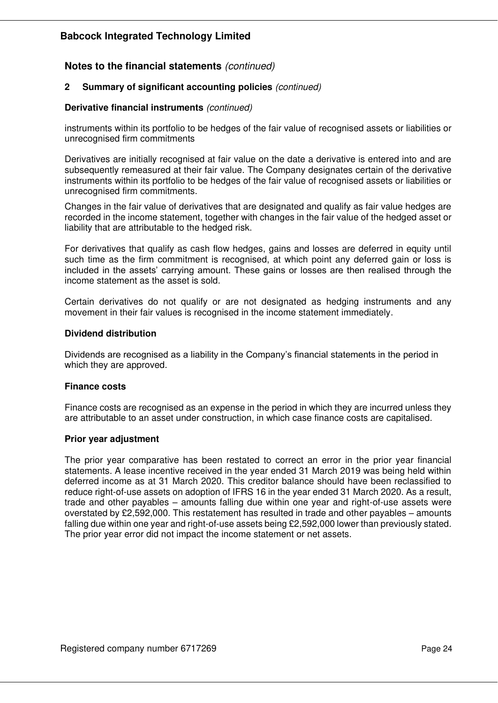# **Notes to the financial statements** *(continued)*

#### **2 Summary of significant accounting policies** *(continued)*

#### **Derivative financial instruments** *(continued)*

instruments within its portfolio to be hedges of the fair value of recognised assets or liabilities or unrecognised firm commitments

Derivatives are initially recognised at fair value on the date a derivative is entered into and are subsequently remeasured at their fair value. The Company designates certain of the derivative instruments within its portfolio to be hedges of the fair value of recognised assets or liabilities or unrecognised firm commitments.

Changes in the fair value of derivatives that are designated and qualify as fair value hedges are recorded in the income statement, together with changes in the fair value of the hedged asset or liability that are attributable to the hedged risk.

For derivatives that qualify as cash flow hedges, gains and losses are deferred in equity until such time as the firm commitment is recognised, at which point any deferred gain or loss is included in the assets' carrying amount. These gains or losses are then realised through the income statement as the asset is sold.

Certain derivatives do not qualify or are not designated as hedging instruments and any movement in their fair values is recognised in the income statement immediately.

#### **Dividend distribution**

Dividends are recognised as a liability in the Company's financial statements in the period in which they are approved.

#### **Finance costs**

Finance costs are recognised as an expense in the period in which they are incurred unless they are attributable to an asset under construction, in which case finance costs are capitalised.

#### **Prior year adjustment**

The prior year comparative has been restated to correct an error in the prior year financial statements. A lease incentive received in the year ended 31 March 2019 was being held within deferred income as at 31 March 2020. This creditor balance should have been reclassified to reduce right-of-use assets on adoption of IFRS 16 in the year ended 31 March 2020. As a result, trade and other payables – amounts falling due within one year and right-of-use assets were overstated by £2,592,000. This restatement has resulted in trade and other payables – amounts falling due within one year and right-of-use assets being £2,592,000 lower than previously stated. The prior year error did not impact the income statement or net assets.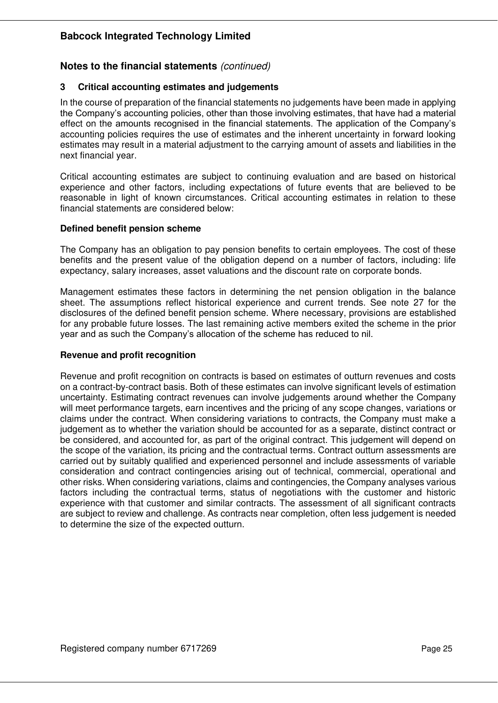# **Notes to the financial statements** *(continued)*

#### **3 Critical accounting estimates and judgements**

In the course of preparation of the financial statements no judgements have been made in applying the Company's accounting policies, other than those involving estimates, that have had a material effect on the amounts recognised in the financial statements. The application of the Company's accounting policies requires the use of estimates and the inherent uncertainty in forward looking estimates may result in a material adjustment to the carrying amount of assets and liabilities in the next financial year.

Critical accounting estimates are subject to continuing evaluation and are based on historical experience and other factors, including expectations of future events that are believed to be reasonable in light of known circumstances. Critical accounting estimates in relation to these financial statements are considered below:

#### **Defined benefit pension scheme**

The Company has an obligation to pay pension benefits to certain employees. The cost of these benefits and the present value of the obligation depend on a number of factors, including: life expectancy, salary increases, asset valuations and the discount rate on corporate bonds.

Management estimates these factors in determining the net pension obligation in the balance sheet. The assumptions reflect historical experience and current trends. See note 27 for the disclosures of the defined benefit pension scheme. Where necessary, provisions are established for any probable future losses. The last remaining active members exited the scheme in the prior year and as such the Company's allocation of the scheme has reduced to nil.

#### **Revenue and profit recognition**

Revenue and profit recognition on contracts is based on estimates of outturn revenues and costs on a contract-by-contract basis. Both of these estimates can involve significant levels of estimation uncertainty. Estimating contract revenues can involve judgements around whether the Company will meet performance targets, earn incentives and the pricing of any scope changes, variations or claims under the contract. When considering variations to contracts, the Company must make a judgement as to whether the variation should be accounted for as a separate, distinct contract or be considered, and accounted for, as part of the original contract. This judgement will depend on the scope of the variation, its pricing and the contractual terms. Contract outturn assessments are carried out by suitably qualified and experienced personnel and include assessments of variable consideration and contract contingencies arising out of technical, commercial, operational and other risks. When considering variations, claims and contingencies, the Company analyses various factors including the contractual terms, status of negotiations with the customer and historic experience with that customer and similar contracts. The assessment of all significant contracts are subject to review and challenge. As contracts near completion, often less judgement is needed to determine the size of the expected outturn.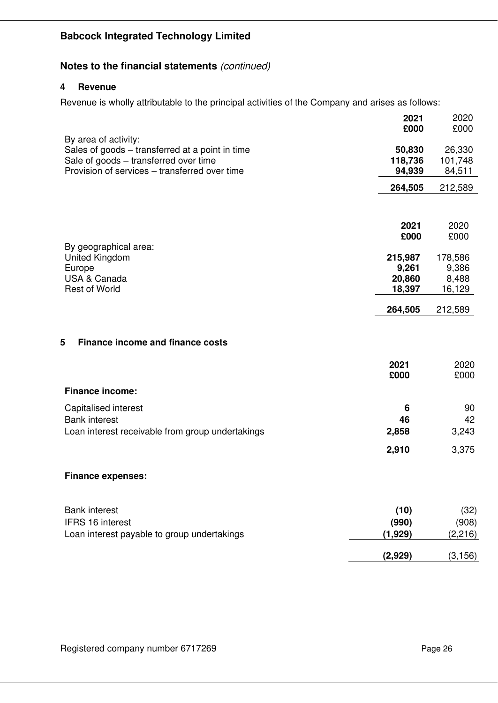# **Notes to the financial statements** *(continued)*

#### **4 Revenue**

Revenue is wholly attributable to the principal activities of the Company and arises as follows:

|                                                                                                                                                                   | 2021<br>£000                | 2020<br>£000                |
|-------------------------------------------------------------------------------------------------------------------------------------------------------------------|-----------------------------|-----------------------------|
| By area of activity:<br>Sales of goods - transferred at a point in time<br>Sale of goods - transferred over time<br>Provision of services – transferred over time | 50,830<br>118,736<br>94,939 | 26,330<br>101,748<br>84,511 |
|                                                                                                                                                                   | 264,505                     | 212,589                     |
|                                                                                                                                                                   | 2021<br>£000                | 2020<br>£000                |
| By geographical area:                                                                                                                                             |                             |                             |
| United Kingdom<br>Europe                                                                                                                                          | 215,987<br>9,261            | 178,586<br>9,386            |
| <b>USA &amp; Canada</b>                                                                                                                                           | 20,860                      | 8,488                       |
| <b>Rest of World</b>                                                                                                                                              | 18,397                      | 16,129                      |
|                                                                                                                                                                   | 264,505                     | 212,589                     |
| 5<br><b>Finance income and finance costs</b><br><b>Finance income:</b>                                                                                            | 2021<br>£000                | 2020<br>£000                |
| Capitalised interest                                                                                                                                              | 6                           | 90                          |
| <b>Bank interest</b>                                                                                                                                              | 46                          | 42                          |
| Loan interest receivable from group undertakings                                                                                                                  | 2,858                       | 3,243                       |
|                                                                                                                                                                   | 2,910                       | 3,375                       |
| <b>Finance expenses:</b>                                                                                                                                          |                             |                             |
| <b>Bank interest</b><br><b>IFRS 16 interest</b>                                                                                                                   | (10)<br>(990)               | (32)<br>(908)               |
| Loan interest payable to group undertakings                                                                                                                       | (1, 929)                    | (2, 216)                    |
|                                                                                                                                                                   | (2,929)                     | (3, 156)                    |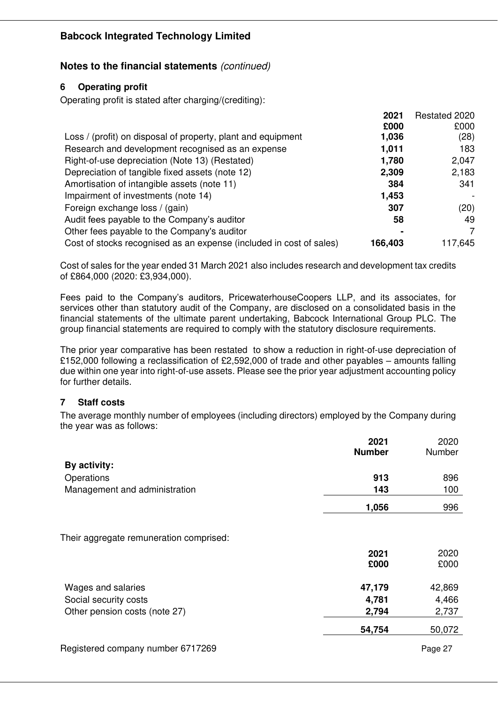# **Notes to the financial statements** *(continued)*

# **6 Operating profit**

Operating profit is stated after charging/(crediting):

|                                                                     | 2021    | Restated 2020 |
|---------------------------------------------------------------------|---------|---------------|
|                                                                     | £000    | £000          |
| Loss / (profit) on disposal of property, plant and equipment        | 1,036   | (28)          |
| Research and development recognised as an expense                   | 1,011   | 183           |
| Right-of-use depreciation (Note 13) (Restated)                      | 1,780   | 2,047         |
| Depreciation of tangible fixed assets (note 12)                     | 2,309   | 2,183         |
| Amortisation of intangible assets (note 11)                         | 384     | 341           |
| Impairment of investments (note 14)                                 | 1,453   |               |
| Foreign exchange loss / (gain)                                      | 307     | (20)          |
| Audit fees payable to the Company's auditor                         | 58      | 49            |
| Other fees payable to the Company's auditor                         |         |               |
| Cost of stocks recognised as an expense (included in cost of sales) | 166,403 | 117,645       |

Cost of sales for the year ended 31 March 2021 also includes research and development tax credits of £864,000 (2020: £3,934,000).

Fees paid to the Company's auditors, PricewaterhouseCoopers LLP, and its associates, for services other than statutory audit of the Company, are disclosed on a consolidated basis in the financial statements of the ultimate parent undertaking, Babcock International Group PLC. The group financial statements are required to comply with the statutory disclosure requirements.

The prior year comparative has been restated to show a reduction in right-of-use depreciation of £152,000 following a reclassification of £2,592,000 of trade and other payables – amounts falling due within one year into right-of-use assets. Please see the prior year adjustment accounting policy for further details.

# **7 Staff costs**

The average monthly number of employees (including directors) employed by the Company during the year was as follows:

|                                         | 2021<br><b>Number</b> | 2020<br>Number |
|-----------------------------------------|-----------------------|----------------|
| By activity:                            |                       |                |
| Operations                              | 913                   | 896            |
| Management and administration           | 143                   | 100            |
|                                         | 1,056                 | 996            |
|                                         |                       |                |
| Their aggregate remuneration comprised: |                       |                |
|                                         | 2021                  | 2020           |
|                                         | £000                  | £000           |
| Wages and salaries                      | 47,179                | 42,869         |
| Social security costs                   | 4,781                 | 4,466          |
| Other pension costs (note 27)           | 2,794                 | 2,737          |
|                                         | 54,754                | 50,072         |
| Registered company number 6717269       |                       | Page 27        |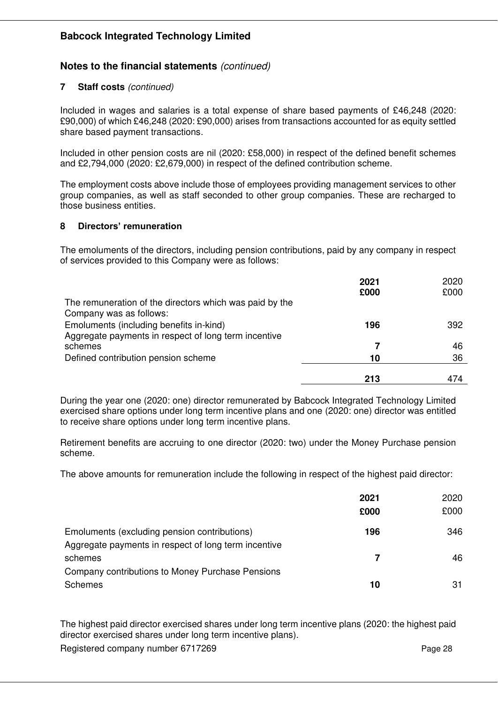### **Notes to the financial statements** *(continued)*

#### **7 Staff costs** *(continued)*

Included in wages and salaries is a total expense of share based payments of £46,248 (2020: £90,000) of which £46,248 (2020: £90,000) arises from transactions accounted for as equity settled share based payment transactions.

Included in other pension costs are nil (2020: £58,000) in respect of the defined benefit schemes and £2,794,000 (2020: £2,679,000) in respect of the defined contribution scheme.

The employment costs above include those of employees providing management services to other group companies, as well as staff seconded to other group companies. These are recharged to those business entities.

#### **8 Directors' remuneration**

The emoluments of the directors, including pension contributions, paid by any company in respect of services provided to this Company were as follows:

|                                                                                                 | 2021<br>£000 | 2020<br>£000 |
|-------------------------------------------------------------------------------------------------|--------------|--------------|
| The remuneration of the directors which was paid by the<br>Company was as follows:              |              |              |
| Emoluments (including benefits in-kind)<br>Aggregate payments in respect of long term incentive | 196          | 392          |
| schemes                                                                                         |              | 46           |
| Defined contribution pension scheme                                                             | 10           | 36           |
|                                                                                                 | 213          | 474          |

During the year one (2020: one) director remunerated by Babcock Integrated Technology Limited exercised share options under long term incentive plans and one (2020: one) director was entitled to receive share options under long term incentive plans.

Retirement benefits are accruing to one director (2020: two) under the Money Purchase pension scheme.

The above amounts for remuneration include the following in respect of the highest paid director:

|                                                                                                      | 2021<br>£000 | 2020<br>£000 |
|------------------------------------------------------------------------------------------------------|--------------|--------------|
| Emoluments (excluding pension contributions)<br>Aggregate payments in respect of long term incentive | 196          | 346          |
| schemes<br>Company contributions to Money Purchase Pensions                                          | 7            | 46           |
| <b>Schemes</b>                                                                                       | 10           | 31           |

The highest paid director exercised shares under long term incentive plans (2020: the highest paid director exercised shares under long term incentive plans).

Registered company number 6717269 Page 28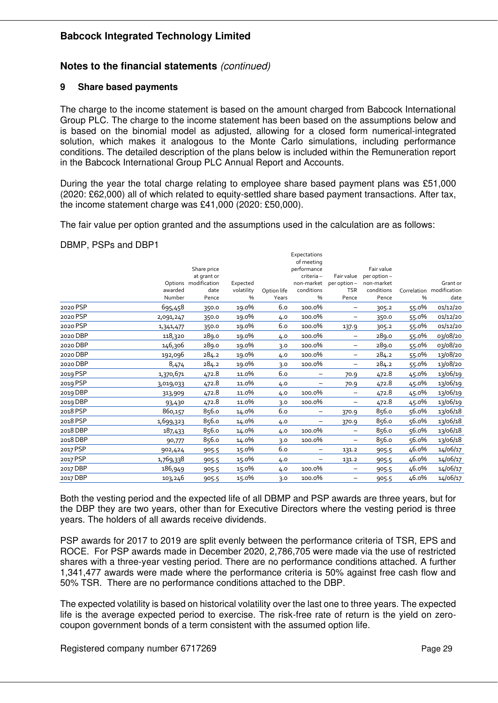# **Notes to the financial statements** *(continued)*

#### **9 Share based payments**

The charge to the income statement is based on the amount charged from Babcock International Group PLC. The charge to the income statement has been based on the assumptions below and is based on the binomial model as adjusted, allowing for a closed form numerical-integrated solution, which makes it analogous to the Monte Carlo simulations, including performance conditions. The detailed description of the plans below is included within the Remuneration report in the Babcock International Group PLC Annual Report and Accounts.

During the year the total charge relating to employee share based payment plans was £51,000 (2020: £62,000) all of which related to equity-settled share based payment transactions. After tax, the income statement charge was £41,000 (2020: £50,000).

The fair value per option granted and the assumptions used in the calculation are as follows:

#### DBMP, PSPs and DBP1

|          |           |                      |            |             | Expectations<br>of meeting |                          |              |       |                          |
|----------|-----------|----------------------|------------|-------------|----------------------------|--------------------------|--------------|-------|--------------------------|
|          |           | Share price          |            |             | performance                |                          | Fair value   |       |                          |
|          |           | at grant or          |            |             | criteria-                  | Fair value               | per option - |       |                          |
|          |           | Options modification | Expected   |             | non-market                 | per option-              | non-market   |       | Grant or                 |
|          | awarded   | date                 | volatility | Option life | conditions                 | <b>TSR</b>               | conditions   |       | Correlation modification |
|          | Number    | Pence                | %          | Years       | %                          | Pence                    | Pence        | %     | date                     |
| 2020 PSP | 695,458   | 350.0                | 19.0%      | 6.0         | 100.0%                     |                          | 305.2        | 55.0% | 01/12/20                 |
| 2020 PSP | 2,091,247 | 350.0                | 19.0%      | 4.0         | 100.0%                     |                          | 350.0        | 55.0% | 01/12/20                 |
| 2020 PSP | 1,341,477 | 350.0                | 19.0%      | 6.0         | 100.0%                     | 137.9                    | 305.2        | 55.0% | 01/12/20                 |
| 2020 DBP | 118,320   | 289.0                | 19.0%      | 4.0         | 100.0%                     | $\overline{\phantom{0}}$ | 289.0        | 55.0% | 03/08/20                 |
| 2020 DBP | 146,306   | 289.0                | 19.0%      | 3.0         | 100.0%                     | $\overline{\phantom{0}}$ | 289.0        | 55.0% | 03/08/20                 |
| 2020 DBP | 192,096   | 284.2                | 19.0%      | 4.0         | 100.0%                     | $\qquad \qquad -$        | 284.2        | 55.0% | 13/08/20                 |
| 2020 DBP | 8,474     | 284.2                | 19.0%      | 3.0         | 100.0%                     |                          | 284.2        | 55.0% | 13/08/20                 |
| 2019 PSP | 1,370,671 | 472.8                | 11.0%      | 6.0         |                            | 70.9                     | 472.8        | 45.0% | 13/06/19                 |
| 2019 PSP | 3,019,033 | 472.8                | 11.0%      | 4.0         |                            | 70.9                     | 472.8        | 45.0% | 13/06/19                 |
| 2019 DBP | 313,909   | 472.8                | 11.0%      | 4.0         | 100.0%                     | $\qquad \qquad -$        | 472.8        | 45.0% | 13/06/19                 |
| 2019 DBP | 93,430    | 472.8                | 11.0%      | 3.0         | 100.0%                     | $\overline{\phantom{m}}$ | 472.8        | 45.0% | 13/06/19                 |
| 2018 PSP | 860,157   | 856.0                | 14.0%      | 6.0         | -                          | 370.9                    | 856.0        | 56.0% | 13/06/18                 |
| 2018 PSP | 1,699,323 | 856.0                | 14.0%      | 4.0         | -                          | 370.9                    | 856.0        | 56.0% | 13/06/18                 |
| 2018 DBP | 187,433   | 856.0                | 14.0%      | 4.0         | 100.0%                     | $\qquad \qquad -$        | 856.0        | 56.0% | 13/06/18                 |
| 2018 DBP | 90,777    | 856.0                | 14.0%      | 3.0         | 100.0%                     | $\overline{\phantom{m}}$ | 856.0        | 56.0% | 13/06/18                 |
| 2017 PSP | 902,424   | 905.5                | 15.0%      | 6.0         | -                          | 131.2                    | 905.5        | 46.0% | 14/06/17                 |
| 2017 PSP | 1,769,338 | 905.5                | 15.0%      | 4.0         | —                          | 131.2                    | 905.5        | 46.0% | 14/06/17                 |
| 2017 DBP | 186,949   | 905.5                | 15.0%      | 4.0         | 100.0%                     |                          | 905.5        | 46.0% | 14/06/17                 |
| 2017 DBP | 103,246   | 905.5                | 15.0%      | 3.0         | 100.0%                     | $\overline{\phantom{0}}$ | 905.5        | 46.0% | 14/06/17                 |
|          |           |                      |            |             |                            |                          |              |       |                          |

Both the vesting period and the expected life of all DBMP and PSP awards are three years, but for the DBP they are two years, other than for Executive Directors where the vesting period is three years. The holders of all awards receive dividends.

PSP awards for 2017 to 2019 are split evenly between the performance criteria of TSR, EPS and ROCE. For PSP awards made in December 2020, 2,786,705 were made via the use of restricted shares with a three-year vesting period. There are no performance conditions attached. A further 1,341,477 awards were made where the performance criteria is 50% against free cash flow and 50% TSR. There are no performance conditions attached to the DBP.

The expected volatility is based on historical volatility over the last one to three years. The expected life is the average expected period to exercise. The risk-free rate of return is the yield on zerocoupon government bonds of a term consistent with the assumed option life.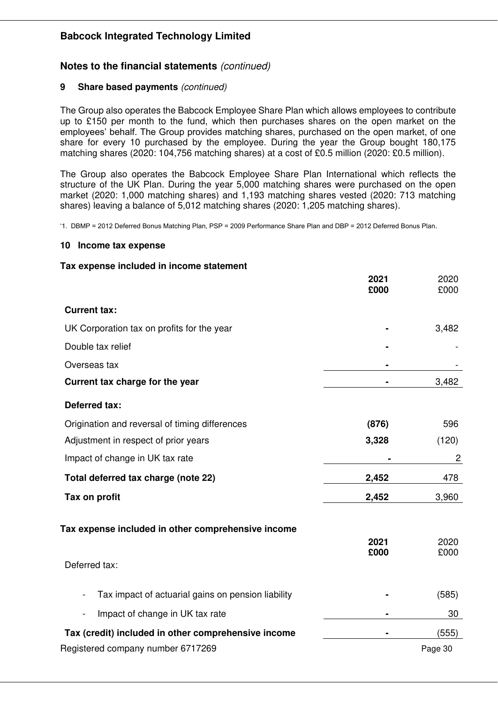# **Notes to the financial statements** *(continued)*

### **9 Share based payments** *(continued)*

The Group also operates the Babcock Employee Share Plan which allows employees to contribute up to £150 per month to the fund, which then purchases shares on the open market on the employees' behalf. The Group provides matching shares, purchased on the open market, of one share for every 10 purchased by the employee. During the year the Group bought 180,175 matching shares (2020: 104,756 matching shares) at a cost of £0.5 million (2020: £0.5 million).

The Group also operates the Babcock Employee Share Plan International which reflects the structure of the UK Plan. During the year 5,000 matching shares were purchased on the open market (2020: 1,000 matching shares) and 1,193 matching shares vested (2020: 713 matching shares) leaving a balance of 5,012 matching shares (2020: 1,205 matching shares).

'1. DBMP = 2012 Deferred Bonus Matching Plan, PSP = 2009 Performance Share Plan and DBP = 2012 Deferred Bonus Plan.

#### **10 Income tax expense**

#### **Tax expense included in income statement**

|                                                                                | 2021<br>£000 | 2020<br>£000 |
|--------------------------------------------------------------------------------|--------------|--------------|
| <b>Current tax:</b>                                                            |              |              |
| UK Corporation tax on profits for the year                                     |              | 3,482        |
| Double tax relief                                                              |              |              |
| Overseas tax                                                                   |              |              |
| Current tax charge for the year                                                |              | 3,482        |
| <b>Deferred tax:</b>                                                           |              |              |
| Origination and reversal of timing differences                                 | (876)        | 596          |
| Adjustment in respect of prior years                                           | 3,328        | (120)        |
| Impact of change in UK tax rate                                                |              | 2            |
| Total deferred tax charge (note 22)                                            | 2,452        | 478          |
| Tax on profit                                                                  | 2,452        | 3,960        |
| Tax expense included in other comprehensive income                             | 2021         | 2020         |
| Deferred tax:                                                                  | £000         | £000         |
| Tax impact of actuarial gains on pension liability<br>$\overline{\phantom{a}}$ |              | (585)        |
| Impact of change in UK tax rate<br>$\overline{\phantom{a}}$                    |              | 30           |
| Tax (credit) included in other comprehensive income                            |              | (555)        |
| Registered company number 6717269                                              |              | Page 30      |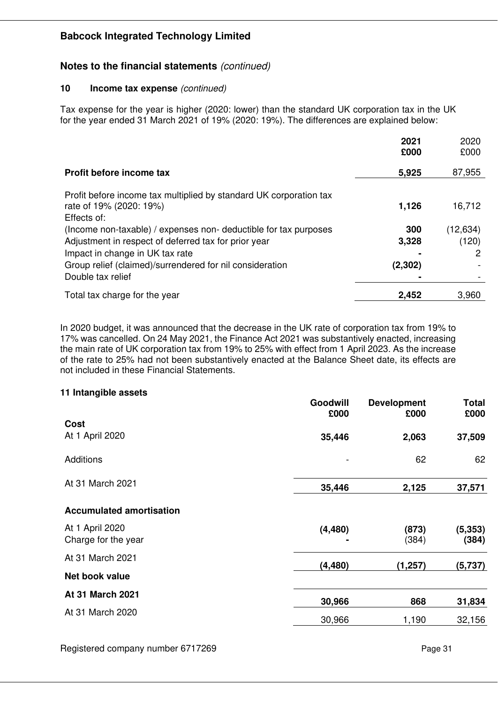# **Notes to the financial statements** *(continued)*

#### **10 Income tax expense** *(continued)*

Tax expense for the year is higher (2020: lower) than the standard UK corporation tax in the UK for the year ended 31 March 2021 of 19% (2020: 19%). The differences are explained below:

|                                                                                               | 2021<br>£000 | 2020<br>£000 |
|-----------------------------------------------------------------------------------------------|--------------|--------------|
| Profit before income tax                                                                      | 5,925        | 87,955       |
| Profit before income tax multiplied by standard UK corporation tax<br>rate of 19% (2020: 19%) | 1,126        | 16,712       |
| Effects of:<br>(Income non-taxable) / expenses non-deductible for tax purposes                | 300          | (12, 634)    |
| Adjustment in respect of deferred tax for prior year<br>Impact in change in UK tax rate       | 3,328        | (120)<br>2   |
| Group relief (claimed)/surrendered for nil consideration<br>Double tax relief                 | (2,302)      |              |
| Total tax charge for the year                                                                 | 2,452        | 3.960        |

In 2020 budget, it was announced that the decrease in the UK rate of corporation tax from 19% to 17% was cancelled. On 24 May 2021, the Finance Act 2021 was substantively enacted, increasing the main rate of UK corporation tax from 19% to 25% with effect from 1 April 2023. As the increase of the rate to 25% had not been substantively enacted at the Balance Sheet date, its effects are not included in these Financial Statements.

#### **11 Intangible assets**

|                                 | Goodwill<br>£000 | <b>Development</b><br>£000 | Total<br>£000 |
|---------------------------------|------------------|----------------------------|---------------|
| Cost                            |                  |                            |               |
| At 1 April 2020                 | 35,446           | 2,063                      | 37,509        |
| Additions                       |                  | 62                         | 62            |
| At 31 March 2021                | 35,446           | 2,125                      | 37,571        |
| <b>Accumulated amortisation</b> |                  |                            |               |
| At 1 April 2020                 | (4, 480)         | (873)                      | (5, 353)      |
| Charge for the year             |                  | (384)                      | (384)         |
| At 31 March 2021                |                  |                            |               |
| Net book value                  | (4, 480)         | (1, 257)                   | (5,737)       |
| At 31 March 2021                | 30,966           | 868                        | 31,834        |
| At 31 March 2020                |                  |                            |               |
|                                 | 30,966           | 1,190                      | 32,156        |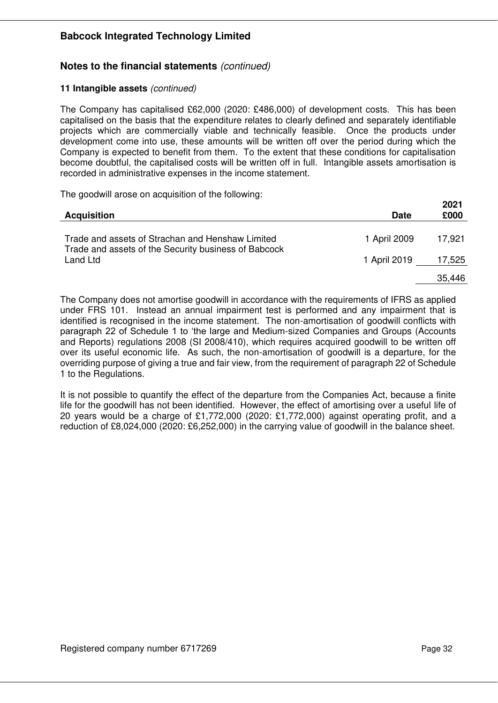# **Notes to the financial statements** *(continued)*

#### **11 Intangible assets** *(continued)*

The Company has capitalised £62,000 (2020: £486,000) of development costs. This has been capitalised on the basis that the expenditure relates to clearly defined and separately identifiable projects which are commercially viable and technically feasible. Once the products under development come into use, these amounts will be written off over the period during which the Company is expected to benefit from them. To the extent that these conditions for capitalisation become doubtful, the capitalised costs will be written off in full. Intangible assets amortisation is recorded in administrative expenses in the income statement.

The goodwill arose on acquisition of the following:

| <b>Acquisition</b>                                                                                       | <b>Date</b>  | 2021<br>£000 |
|----------------------------------------------------------------------------------------------------------|--------------|--------------|
| Trade and assets of Strachan and Henshaw Limited<br>Trade and assets of the Security business of Babcock | 1 April 2009 | 17,921       |
| Land Ltd                                                                                                 | 1 April 2019 | 17,525       |
|                                                                                                          |              | 35,446       |

The Company does not amortise goodwill in accordance with the requirements of IFRS as applied under FRS 101. Instead an annual impairment test is performed and any impairment that is identified is recognised in the income statement. The non-amortisation of goodwill conflicts with paragraph 22 of Schedule 1 to 'the large and Medium-sized Companies and Groups (Accounts and Reports) regulations 2008 (SI 2008/410), which requires acquired goodwill to be written off over its useful economic life. As such, the non-amortisation of goodwill is a departure, for the overriding purpose of giving a true and fair view, from the requirement of paragraph 22 of Schedule 1 to the Regulations.

It is not possible to quantify the effect of the departure from the Companies Act, because a finite life for the goodwill has not been identified. However, the effect of amortising over a useful life of 20 years would be a charge of £1,772,000 (2020: £1,772,000) against operating profit, and a reduction of £8,024,000 (2020: £6,252,000) in the carrying value of goodwill in the balance sheet.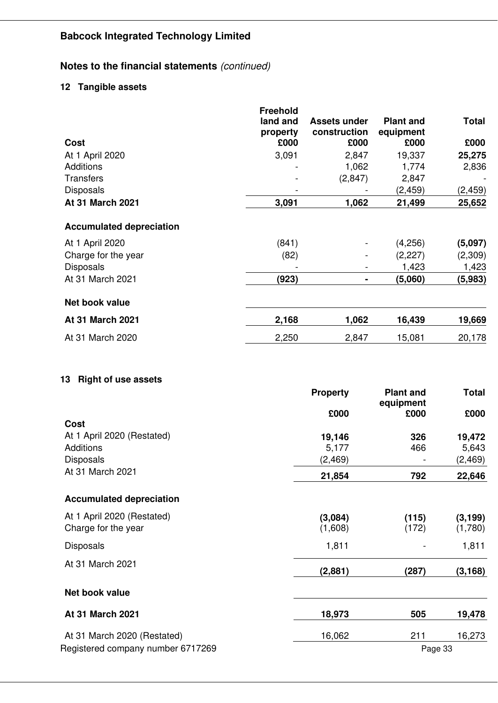# **Notes to the financial statements** *(continued)*

# **12 Tangible assets**

|                                                                  | <b>Freehold</b><br>land and<br>property | <b>Assets under</b><br>construction | <b>Plant and</b><br>equipment | <b>Total</b>   |
|------------------------------------------------------------------|-----------------------------------------|-------------------------------------|-------------------------------|----------------|
| Cost                                                             | £000                                    | £000                                | £000                          | £000           |
| At 1 April 2020                                                  | 3,091                                   | 2,847                               | 19,337                        | 25,275         |
| Additions                                                        |                                         | 1,062                               | 1,774                         | 2,836          |
| <b>Transfers</b>                                                 |                                         | (2,847)                             | 2,847                         |                |
| <b>Disposals</b>                                                 |                                         |                                     | (2, 459)                      | (2, 459)       |
| At 31 March 2021                                                 | 3,091                                   | 1,062                               | 21,499                        | 25,652         |
| <b>Accumulated depreciation</b>                                  |                                         |                                     |                               |                |
| At 1 April 2020                                                  | (841)                                   |                                     | (4,256)                       | (5,097)        |
| Charge for the year                                              | (82)                                    |                                     | (2,227)                       | (2,309)        |
| <b>Disposals</b>                                                 |                                         |                                     | 1,423                         | 1,423          |
| At 31 March 2021                                                 | (923)                                   | $\blacksquare$                      | (5,060)                       | (5,983)        |
| Net book value                                                   |                                         |                                     |                               |                |
| At 31 March 2021                                                 | 2,168                                   | 1,062                               | 16,439                        | 19,669         |
| At 31 March 2020                                                 | 2,250                                   | 2,847                               | 15,081                        | 20,178         |
| Cost<br>At 1 April 2020 (Restated)                               |                                         | £000<br>19,146                      | equipment<br>£000<br>326      | £000<br>19,472 |
| Additions                                                        |                                         | 5,177                               | 466                           | 5,643          |
| <b>Disposals</b>                                                 |                                         | (2, 469)                            |                               | (2, 469)       |
| At 31 March 2021                                                 |                                         | 21,854                              | 792                           | 22,646         |
| <b>Accumulated depreciation</b>                                  |                                         |                                     |                               |                |
| At 1 April 2020 (Restated)                                       |                                         | (3,084)                             | (115)                         | (3, 199)       |
| Charge for the year                                              |                                         | (1,608)                             | (172)                         | (1,780)        |
| <b>Disposals</b>                                                 |                                         | 1,811                               |                               | 1,811          |
| At 31 March 2021                                                 |                                         | (2,881)                             | (287)                         | (3, 168)       |
| Net book value                                                   |                                         |                                     |                               |                |
| At 31 March 2021                                                 |                                         | 18,973                              | 505                           | 19,478         |
| At 31 March 2020 (Restated)<br>Registered company number 6717269 |                                         | 16,062                              | 211<br>Page 33                | 16,273         |
|                                                                  |                                         |                                     |                               |                |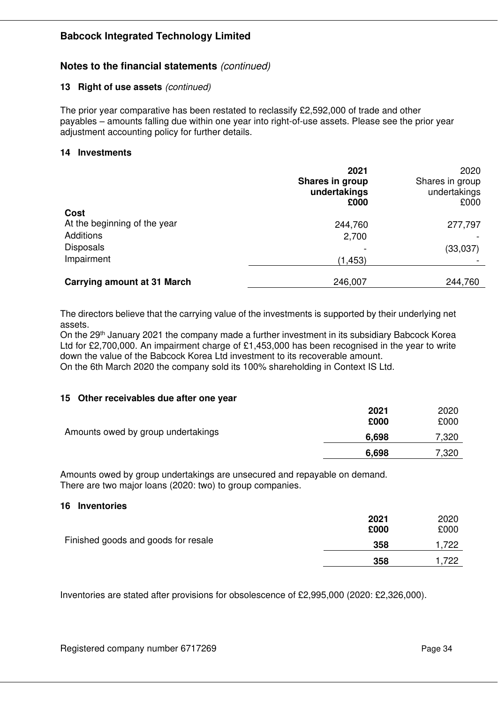### **Notes to the financial statements** *(continued)*

#### **13 Right of use assets** *(continued)*

The prior year comparative has been restated to reclassify £2,592,000 of trade and other payables – amounts falling due within one year into right-of-use assets. Please see the prior year adjustment accounting policy for further details.

#### **14 Investments**

|                                    | 2021<br>Shares in group<br>undertakings<br>£000 | 2020<br>Shares in group<br>undertakings<br>£000 |
|------------------------------------|-------------------------------------------------|-------------------------------------------------|
| Cost                               |                                                 |                                                 |
| At the beginning of the year       | 244,760                                         | 277,797                                         |
| Additions                          | 2,700                                           |                                                 |
| <b>Disposals</b>                   |                                                 | (33,037)                                        |
| Impairment                         | (1, 453)                                        |                                                 |
|                                    |                                                 |                                                 |
| <b>Carrying amount at 31 March</b> | 246,007                                         | 244,760                                         |

The directors believe that the carrying value of the investments is supported by their underlying net assets.

On the 29th January 2021 the company made a further investment in its subsidiary Babcock Korea Ltd for £2,700,000. An impairment charge of £1,453,000 has been recognised in the year to write down the value of the Babcock Korea Ltd investment to its recoverable amount. On the 6th March 2020 the company sold its 100% shareholding in Context IS Ltd.

**15 Other receivables due after one year** 

|                                    | 2021<br>£000 | 2020<br>£000 |
|------------------------------------|--------------|--------------|
| Amounts owed by group undertakings | 6,698        | 7,320        |
|                                    | 6,698        | 7,320        |

Amounts owed by group undertakings are unsecured and repayable on demand. There are two major loans (2020: two) to group companies.

#### **16 Inventories**

|                                     | 2021<br>£000 | 2020<br>£000 |
|-------------------------------------|--------------|--------------|
| Finished goods and goods for resale | 358          | .722         |
|                                     | 358          | .722         |

Inventories are stated after provisions for obsolescence of £2,995,000 (2020: £2,326,000).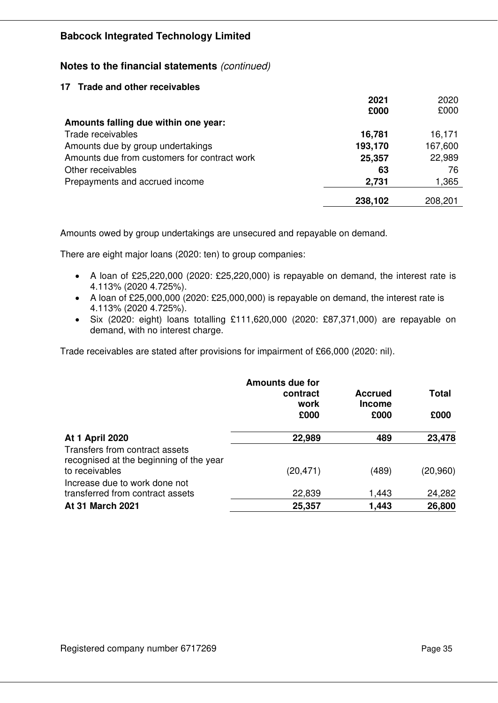**Notes to the financial statements** *(continued)* 

#### **17 Trade and other receivables**

|                                              | 2021    | 2020    |
|----------------------------------------------|---------|---------|
|                                              | £000    | £000    |
| Amounts falling due within one year:         |         |         |
| Trade receivables                            | 16,781  | 16,171  |
| Amounts due by group undertakings            | 193,170 | 167,600 |
| Amounts due from customers for contract work | 25,357  | 22,989  |
| Other receivables                            | 63      | 76      |
| Prepayments and accrued income               | 2,731   | 1,365   |
|                                              |         |         |
|                                              | 238,102 | 208,201 |

Amounts owed by group undertakings are unsecured and repayable on demand.

There are eight major loans (2020: ten) to group companies:

- A loan of £25,220,000 (2020: £25,220,000) is repayable on demand, the interest rate is 4.113% (2020 4.725%).
- A loan of £25,000,000 (2020: £25,000,000) is repayable on demand, the interest rate is 4.113% (2020 4.725%).
- Six (2020: eight) loans totalling £111,620,000 (2020: £87,371,000) are repayable on demand, with no interest charge.

Trade receivables are stated after provisions for impairment of £66,000 (2020: nil).

|                                                                                             | <b>Amounts due for</b><br>contract<br>work<br>£000 | <b>Accrued</b><br><b>Income</b><br>£000 | <b>Total</b><br>£000 |
|---------------------------------------------------------------------------------------------|----------------------------------------------------|-----------------------------------------|----------------------|
| <b>At 1 April 2020</b>                                                                      | 22,989                                             | 489                                     | 23,478               |
| Transfers from contract assets<br>recognised at the beginning of the year<br>to receivables | (20, 471)                                          | (489)                                   | (20, 960)            |
| Increase due to work done not<br>transferred from contract assets                           | 22,839                                             | 1,443                                   | 24,282               |
| <b>At 31 March 2021</b>                                                                     | 25,357                                             | 1,443                                   | 26,800               |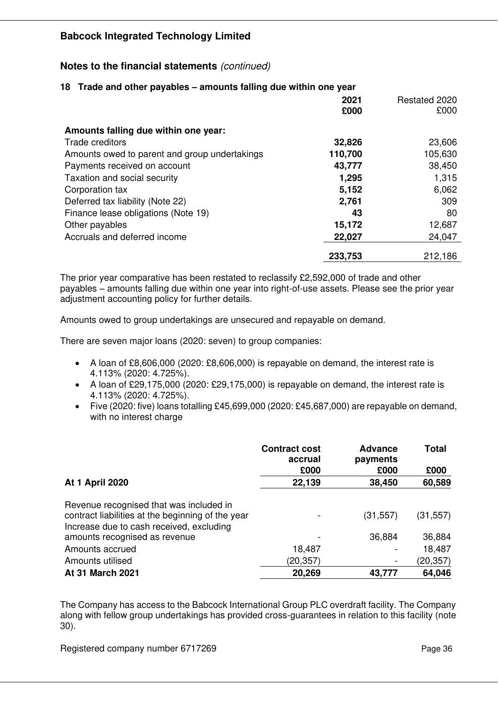# **Notes to the financial statements** *(continued)*

| 18 Trade and other payables – amounts falling due within one year |              |                       |
|-------------------------------------------------------------------|--------------|-----------------------|
|                                                                   | 2021<br>£000 | Restated 2020<br>£000 |
| Amounts falling due within one year:                              |              |                       |
| Trade creditors                                                   | 32,826       | 23,606                |
| Amounts owed to parent and group undertakings                     | 110,700      | 105,630               |
| Payments received on account                                      | 43,777       | 38,450                |
| Taxation and social security                                      | 1,295        | 1,315                 |
| Corporation tax                                                   | 5,152        | 6,062                 |
| Deferred tax liability (Note 22)                                  | 2,761        | 309                   |
| Finance lease obligations (Note 19)                               | 43           | 80                    |
| Other payables                                                    | 15,172       | 12,687                |
| Accruals and deferred income                                      | 22,027       | 24,047                |
|                                                                   | 233,753      | 212,186               |

#### The prior year comparative has been restated to reclassify £2,592,000 of trade and other payables – amounts falling due within one year into right-of-use assets. Please see the prior year adjustment accounting policy for further details.

Amounts owed to group undertakings are unsecured and repayable on demand.

There are seven major loans (2020: seven) to group companies:

- A loan of £8,606,000 (2020: £8,606,000) is repayable on demand, the interest rate is 4.113% (2020: 4.725%).
- A loan of £29,175,000 (2020: £29,175,000) is repayable on demand, the interest rate is 4.113% (2020: 4.725%).
- Five (2020: five) loans totalling £45,699,000 (2020: £45,687,000) are repayable on demand, with no interest charge

|                                                   | <b>Contract cost</b><br>accrual | <b>Advance</b><br>payments | <b>Total</b>   |
|---------------------------------------------------|---------------------------------|----------------------------|----------------|
| <b>At 1 April 2020</b>                            | £000<br>22,139                  | £000<br>38,450             | £000<br>60,589 |
|                                                   |                                 |                            |                |
| Revenue recognised that was included in           |                                 |                            |                |
| contract liabilities at the beginning of the year |                                 | (31, 557)                  | (31, 557)      |
| Increase due to cash received, excluding          |                                 |                            |                |
| amounts recognised as revenue                     |                                 | 36,884                     | 36,884         |
| Amounts accrued                                   | 18,487                          |                            | 18,487         |
| Amounts utilised                                  | (20,357)                        |                            | (20,357)       |
| At 31 March 2021                                  | 20,269                          | 43,777                     | 64,046         |

The Company has access to the Babcock International Group PLC overdraft facility. The Company along with fellow group undertakings has provided cross-guarantees in relation to this facility (note 30).

Registered company number 6717269 **Page 36** Page 36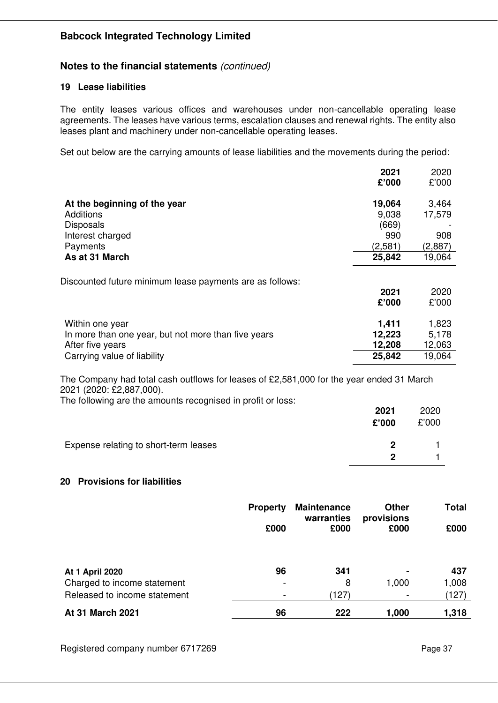### **Notes to the financial statements** *(continued)*

#### **19 Lease liabilities**

The entity leases various offices and warehouses under non-cancellable operating lease agreements. The leases have various terms, escalation clauses and renewal rights. The entity also leases plant and machinery under non-cancellable operating leases.

Set out below are the carrying amounts of lease liabilities and the movements during the period:

|                                                          | 2021    | 2020    |
|----------------------------------------------------------|---------|---------|
|                                                          | £'000   | £'000   |
| At the beginning of the year                             | 19,064  | 3,464   |
| Additions                                                | 9,038   | 17,579  |
| <b>Disposals</b>                                         | (669)   |         |
| Interest charged                                         | 990     | 908     |
| Payments                                                 | (2,581) | (2,887) |
| As at 31 March                                           | 25,842  | 19,064  |
| Discounted future minimum lease payments are as follows: |         |         |
|                                                          | 2021    | 2020    |
|                                                          | £'000   | £'000   |
| Within one year                                          | 1,411   | 1,823   |
| In more than one year, but not more than five years      | 12,223  | 5,178   |
| After five years                                         | 12,208  | 12,063  |
| Carrying value of liability                              | 25,842  | 19,064  |
|                                                          |         |         |

The Company had total cash outflows for leases of £2,581,000 for the year ended 31 March 2021 (2020: £2,887,000).

| The following are the amounts recognised in profit or loss: |  |  |  |
|-------------------------------------------------------------|--|--|--|
|                                                             |  |  |  |

|                                       | 2021<br>£'000 | 2020<br>£'000 |
|---------------------------------------|---------------|---------------|
| Expense relating to short-term leases | כי            |               |
|                                       | ŋ             |               |

#### **20 Provisions for liabilities**

|                                                                                       | <b>Property</b><br>£000 | <b>Maintenance</b><br>warranties<br>£000 | <b>Other</b><br>provisions<br>£000                  | <b>Total</b><br>£000  |
|---------------------------------------------------------------------------------------|-------------------------|------------------------------------------|-----------------------------------------------------|-----------------------|
| <b>At 1 April 2020</b><br>Charged to income statement<br>Released to income statement | 96                      | 341<br>8<br>(127)                        | $\blacksquare$<br>1,000<br>$\overline{\phantom{0}}$ | 437<br>1,008<br>(127) |
| At 31 March 2021                                                                      | 96                      | 222                                      | 1,000                                               | 1,318                 |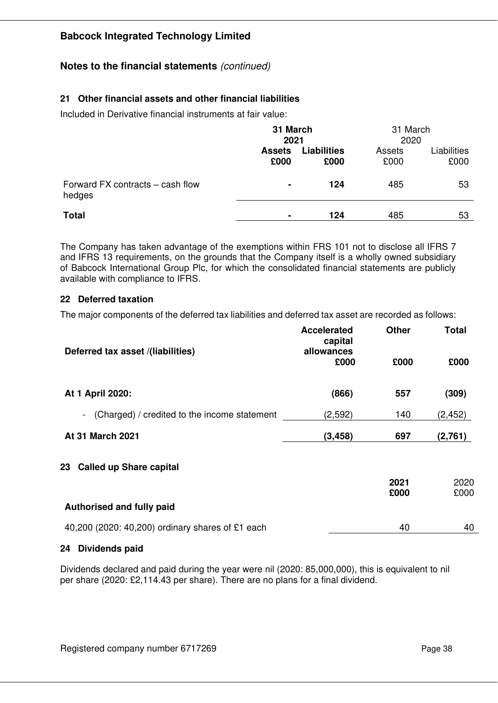# **Notes to the financial statements** *(continued)*

# **21 Other financial assets and other financial liabilities**

Included in Derivative financial instruments at fair value:

|                                            | 31 March<br>2021      |                            | 31 March<br>2020 |                     |
|--------------------------------------------|-----------------------|----------------------------|------------------|---------------------|
|                                            | <b>Assets</b><br>£000 | <b>Liabilities</b><br>£000 | Assets<br>£000   | Liabilities<br>£000 |
| Forward FX contracts – cash flow<br>hedges | $\blacksquare$        | 124                        | 485              | 53                  |
| <b>Total</b>                               | $\blacksquare$        | 124                        | 485              | 53                  |

The Company has taken advantage of the exemptions within FRS 101 not to disclose all IFRS 7 and IFRS 13 requirements, on the grounds that the Company itself is a wholly owned subsidiary of Babcock International Group Plc, for which the consolidated financial statements are publicly available with compliance to IFRS.

#### **22 Deferred taxation**

The major components of the deferred tax liabilities and deferred tax asset are recorded as follows:

| Deferred tax asset /(liabilities)                              | <b>Accelerated</b><br>capital<br>allowances | <b>Other</b> | <b>Total</b> |
|----------------------------------------------------------------|---------------------------------------------|--------------|--------------|
|                                                                | £000                                        | £000         | £000         |
| At 1 April 2020:                                               | (866)                                       | 557          | (309)        |
| (Charged) / credited to the income statement<br>$\blacksquare$ | (2,592)                                     | 140          | (2, 452)     |
| <b>At 31 March 2021</b>                                        | (3, 458)                                    | 697          | (2,761)      |
| 23 Called up Share capital                                     |                                             |              |              |
|                                                                |                                             | 2021         | 2020         |
| Authorised and fully paid                                      |                                             | £000         | £000         |
| 40,200 (2020: 40,200) ordinary shares of £1 each               |                                             | 40           | 40           |

#### **24 Dividends paid**

Dividends declared and paid during the year were nil (2020: 85,000,000), this is equivalent to nil per share (2020: £2,114.43 per share). There are no plans for a final dividend.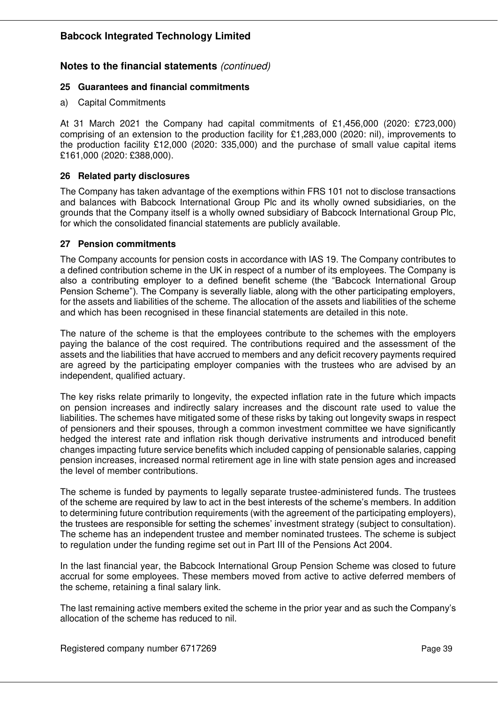### **Notes to the financial statements** *(continued)*

#### **25 Guarantees and financial commitments**

a) Capital Commitments

At 31 March 2021 the Company had capital commitments of £1,456,000 (2020: £723,000) comprising of an extension to the production facility for £1,283,000 (2020: nil), improvements to the production facility £12,000 (2020: 335,000) and the purchase of small value capital items £161,000 (2020: £388,000).

#### **26 Related party disclosures**

The Company has taken advantage of the exemptions within FRS 101 not to disclose transactions and balances with Babcock International Group Plc and its wholly owned subsidiaries, on the grounds that the Company itself is a wholly owned subsidiary of Babcock International Group Plc, for which the consolidated financial statements are publicly available.

#### **27 Pension commitments**

The Company accounts for pension costs in accordance with IAS 19. The Company contributes to a defined contribution scheme in the UK in respect of a number of its employees. The Company is also a contributing employer to a defined benefit scheme (the "Babcock International Group Pension Scheme"). The Company is severally liable, along with the other participating employers, for the assets and liabilities of the scheme. The allocation of the assets and liabilities of the scheme and which has been recognised in these financial statements are detailed in this note.

The nature of the scheme is that the employees contribute to the schemes with the employers paying the balance of the cost required. The contributions required and the assessment of the assets and the liabilities that have accrued to members and any deficit recovery payments required are agreed by the participating employer companies with the trustees who are advised by an independent, qualified actuary.

The key risks relate primarily to longevity, the expected inflation rate in the future which impacts on pension increases and indirectly salary increases and the discount rate used to value the liabilities. The schemes have mitigated some of these risks by taking out longevity swaps in respect of pensioners and their spouses, through a common investment committee we have significantly hedged the interest rate and inflation risk though derivative instruments and introduced benefit changes impacting future service benefits which included capping of pensionable salaries, capping pension increases, increased normal retirement age in line with state pension ages and increased the level of member contributions.

The scheme is funded by payments to legally separate trustee-administered funds. The trustees of the scheme are required by law to act in the best interests of the scheme's members. In addition to determining future contribution requirements (with the agreement of the participating employers), the trustees are responsible for setting the schemes' investment strategy (subject to consultation). The scheme has an independent trustee and member nominated trustees. The scheme is subject to regulation under the funding regime set out in Part III of the Pensions Act 2004.

In the last financial year, the Babcock International Group Pension Scheme was closed to future accrual for some employees. These members moved from active to active deferred members of the scheme, retaining a final salary link.

The last remaining active members exited the scheme in the prior year and as such the Company's allocation of the scheme has reduced to nil.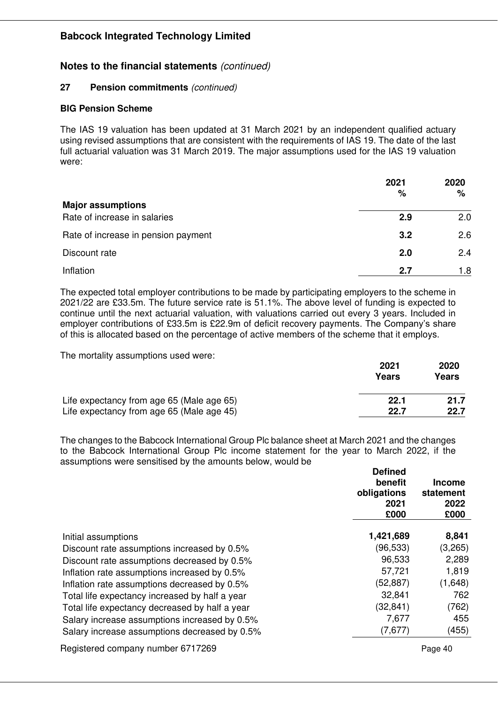### **Notes to the financial statements** *(continued)*

#### **27 Pension commitments** *(continued)*

#### **BIG Pension Scheme**

The IAS 19 valuation has been updated at 31 March 2021 by an independent qualified actuary using revised assumptions that are consistent with the requirements of IAS 19. The date of the last full actuarial valuation was 31 March 2019. The major assumptions used for the IAS 19 valuation were:

|                                     | 2021<br>% | 2020<br>% |
|-------------------------------------|-----------|-----------|
| <b>Major assumptions</b>            |           |           |
| Rate of increase in salaries        | 2.9       | 2.0       |
| Rate of increase in pension payment | 3.2       | 2.6       |
| Discount rate                       | 2.0       | 2.4       |
| Inflation                           | 2.7       | 1.8       |

The expected total employer contributions to be made by participating employers to the scheme in 2021/22 are £33.5m. The future service rate is 51.1%. The above level of funding is expected to continue until the next actuarial valuation, with valuations carried out every 3 years. Included in employer contributions of £33.5m is £22.9m of deficit recovery payments. The Company's share of this is allocated based on the percentage of active members of the scheme that it employs.

The mortality assumptions used were:

|                                           | 2021<br>Years | 2020<br>Years |
|-------------------------------------------|---------------|---------------|
| Life expectancy from age 65 (Male age 65) | 22.1          | 21.7          |
| Life expectancy from age 65 (Male age 45) | 22.7          | 22.7          |

The changes to the Babcock International Group Plc balance sheet at March 2021 and the changes to the Babcock International Group Plc income statement for the year to March 2022, if the assumptions were sensitised by the amounts below, would be

|                                                | <b>Defined</b><br>benefit<br>obligations<br>2021<br>£000 | <b>Income</b><br>statement<br>2022<br>£000 |
|------------------------------------------------|----------------------------------------------------------|--------------------------------------------|
| Initial assumptions                            | 1,421,689                                                | 8,841                                      |
| Discount rate assumptions increased by 0.5%    | (96,533)                                                 | (3,265)                                    |
| Discount rate assumptions decreased by 0.5%    | 96,533                                                   | 2,289                                      |
| Inflation rate assumptions increased by 0.5%   | 57,721                                                   | 1,819                                      |
| Inflation rate assumptions decreased by 0.5%   | (52, 887)                                                | (1,648)                                    |
| Total life expectancy increased by half a year | 32,841                                                   | 762                                        |
| Total life expectancy decreased by half a year | (32, 841)                                                | (762)                                      |
| Salary increase assumptions increased by 0.5%  | 7,677                                                    | 455                                        |
| Salary increase assumptions decreased by 0.5%  | (7,677)                                                  | (455)                                      |
| Registered company number 6717269              |                                                          | Page 40                                    |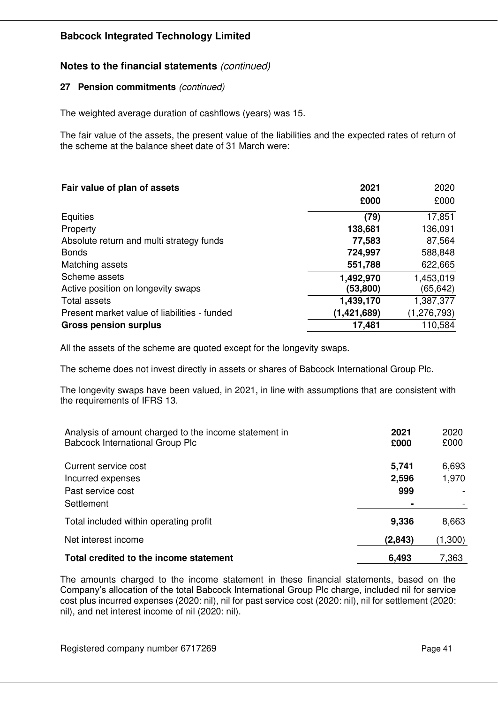# **Notes to the financial statements** *(continued)*

#### **27 Pension commitments** *(continued)*

The weighted average duration of cashflows (years) was 15.

The fair value of the assets, the present value of the liabilities and the expected rates of return of the scheme at the balance sheet date of 31 March were:

| Fair value of plan of assets                 | 2021        | 2020          |
|----------------------------------------------|-------------|---------------|
|                                              | £000        | £000          |
| Equities                                     | (79)        | 17,851        |
| Property                                     | 138,681     | 136,091       |
| Absolute return and multi strategy funds     | 77,583      | 87,564        |
| <b>Bonds</b>                                 | 724,997     | 588,848       |
| Matching assets                              | 551,788     | 622,665       |
| Scheme assets                                | 1,492,970   | 1,453,019     |
| Active position on longevity swaps           | (53,800)    | (65, 642)     |
| Total assets                                 | 1,439,170   | 1,387,377     |
| Present market value of liabilities - funded | (1,421,689) | (1, 276, 793) |
| <b>Gross pension surplus</b>                 | 17,481      | 110,584       |

All the assets of the scheme are quoted except for the longevity swaps.

The scheme does not invest directly in assets or shares of Babcock International Group Plc.

The longevity swaps have been valued, in 2021, in line with assumptions that are consistent with the requirements of IFRS 13.

| Analysis of amount charged to the income statement in<br><b>Babcock International Group Plc</b> | 2021<br>£000          | 2020<br>£000   |
|-------------------------------------------------------------------------------------------------|-----------------------|----------------|
| Current service cost<br>Incurred expenses                                                       | 5,741<br>2,596        | 6,693<br>1,970 |
| Past service cost<br>Settlement                                                                 | 999<br>$\blacksquare$ |                |
| Total included within operating profit                                                          | 9,336                 | 8,663          |
| Net interest income                                                                             | (2,843)               | (1,300)        |
| Total credited to the income statement                                                          | 6,493                 | 7,363          |

The amounts charged to the income statement in these financial statements, based on the Company's allocation of the total Babcock International Group Plc charge, included nil for service cost plus incurred expenses (2020: nil), nil for past service cost (2020: nil), nil for settlement (2020: nil), and net interest income of nil (2020: nil).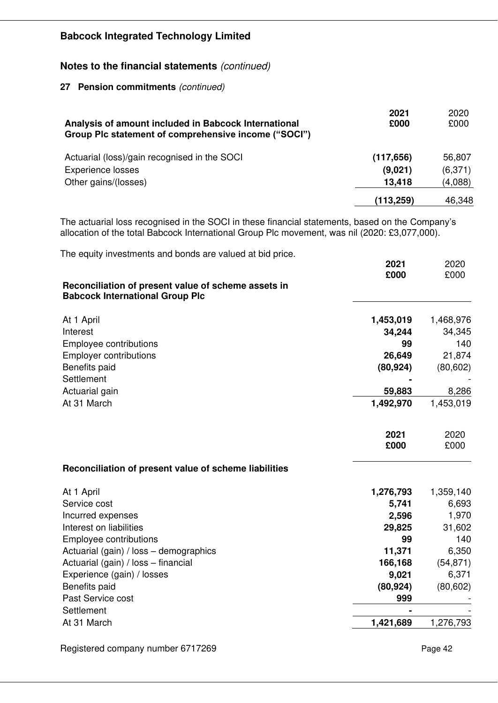**Notes to the financial statements** *(continued)* 

**27 Pension commitments** *(continued)*

| Analysis of amount included in Babcock International<br>Group Plc statement of comprehensive income ("SOCI") | 2021<br>£000 | 2020<br>£000 |
|--------------------------------------------------------------------------------------------------------------|--------------|--------------|
| Actuarial (loss)/gain recognised in the SOCI                                                                 | (117, 656)   | 56,807       |
| <b>Experience losses</b>                                                                                     | (9,021)      | (6,371)      |
| Other gains/(losses)                                                                                         | 13,418       | (4,088)      |
|                                                                                                              | (113, 259)   | 46,348       |

The actuarial loss recognised in the SOCI in these financial statements, based on the Company's allocation of the total Babcock International Group Plc movement, was nil (2020: £3,077,000).

The equity investments and bonds are valued at bid price.

|                                                                                               | £000      | £000      |
|-----------------------------------------------------------------------------------------------|-----------|-----------|
| Reconciliation of present value of scheme assets in<br><b>Babcock International Group Plc</b> |           |           |
| At 1 April                                                                                    | 1,453,019 | 1,468,976 |
| Interest                                                                                      | 34,244    | 34,345    |
| Employee contributions                                                                        | 99        | 140       |
| <b>Employer contributions</b>                                                                 | 26,649    | 21,874    |
| Benefits paid                                                                                 | (80, 924) | (80, 602) |
| Settlement                                                                                    |           |           |
| Actuarial gain                                                                                | 59,883    | 8,286     |
| At 31 March                                                                                   | 1,492,970 | 1,453,019 |
|                                                                                               | 2021      | 2020      |
|                                                                                               | £000      | £000      |
| Reconciliation of present value of scheme liabilities                                         |           |           |
| At 1 April                                                                                    | 1,276,793 | 1,359,140 |
| Service cost                                                                                  | 5,741     | 6,693     |
| Incurred expenses                                                                             | 2,596     | 1,970     |
| Interest on liabilities                                                                       | 29,825    | 31,602    |
| Employee contributions                                                                        | 99        | 140       |
| Actuarial (gain) / loss - demographics                                                        | 11,371    | 6,350     |
| Actuarial (gain) / loss - financial                                                           | 166,168   | (54, 871) |
| Experience (gain) / losses                                                                    | 9,021     | 6,371     |
| Benefits paid                                                                                 | (80, 924) | (80, 602) |
| Past Service cost                                                                             | 999       |           |
| Settlement                                                                                    |           |           |
| At 31 March                                                                                   | 1,421,689 | 1,276,793 |

Registered company number 6717269 Page 42

**2021**

2020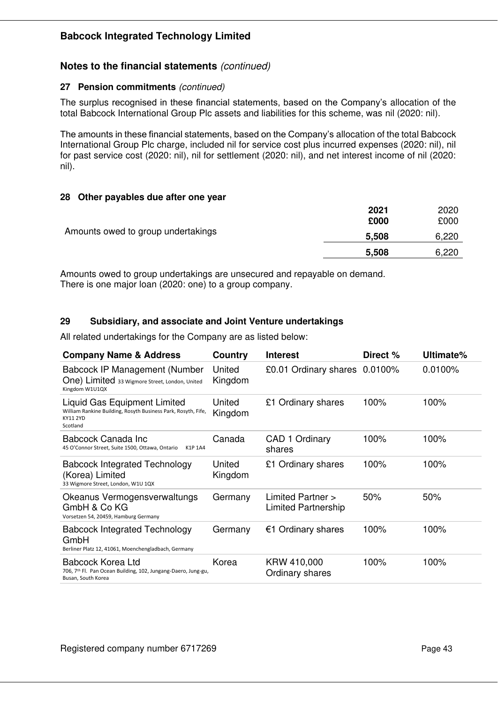### **Notes to the financial statements** *(continued)*

#### **27 Pension commitments** *(continued)*

The surplus recognised in these financial statements, based on the Company's allocation of the total Babcock International Group Plc assets and liabilities for this scheme, was nil (2020: nil).

The amounts in these financial statements, based on the Company's allocation of the total Babcock International Group Plc charge, included nil for service cost plus incurred expenses (2020: nil), nil for past service cost (2020: nil), nil for settlement (2020: nil), and net interest income of nil (2020: nil).

#### **28 Other payables due after one year**

|                                    | 2021<br>£000 | 2020<br>£000 |
|------------------------------------|--------------|--------------|
| Amounts owed to group undertakings | 5,508        | 6,220        |
|                                    | 5,508        | 6,220        |

Amounts owed to group undertakings are unsecured and repayable on demand. There is one major loan (2020: one) to a group company.

#### **29 Subsidiary, and associate and Joint Venture undertakings**

All related undertakings for the Company are as listed below:

| <b>Company Name &amp; Address</b>                                                                                            | Country           | <b>Interest</b>                          | Direct % | Ultimate% |
|------------------------------------------------------------------------------------------------------------------------------|-------------------|------------------------------------------|----------|-----------|
| Babcock IP Management (Number<br>One) Limited 33 Wigmore Street, London, United<br>Kingdom W1U1QX                            | United<br>Kingdom | £0.01 Ordinary shares 0.0100%            |          | 0.0100%   |
| Liquid Gas Equipment Limited<br>William Rankine Building, Rosyth Business Park, Rosyth, Fife,<br><b>KY11 2YD</b><br>Scotland | United<br>Kingdom | £1 Ordinary shares                       | 100%     | 100%      |
| Babcock Canada Inc<br>45 O'Connor Street, Suite 1500, Ottawa, Ontario<br>K1P 1A4                                             | Canada            | CAD 1 Ordinary<br>shares                 | 100%     | 100%      |
| <b>Babcock Integrated Technology</b><br>(Korea) Limited<br>33 Wigmore Street, London, W1U 1QX                                | United<br>Kingdom | £1 Ordinary shares                       | 100%     | 100%      |
| Okeanus Vermogensverwaltungs<br>GmbH & Co KG<br>Vorsetzen 54, 20459, Hamburg Germany                                         | Germany           | Limited Partner ><br>Limited Partnership | 50%      | 50%       |
| <b>Babcock Integrated Technology</b><br>GmbH<br>Berliner Platz 12, 41061, Moenchengladbach, Germany                          | Germany           | €1 Ordinary shares                       | 100%     | 100%      |
| Babcock Korea Ltd<br>706, 7th Fl. Pan Ocean Building, 102, Jungang-Daero, Jung-gu,<br>Busan, South Korea                     | Korea             | KRW 410,000<br>Ordinary shares           | 100%     | 100%      |